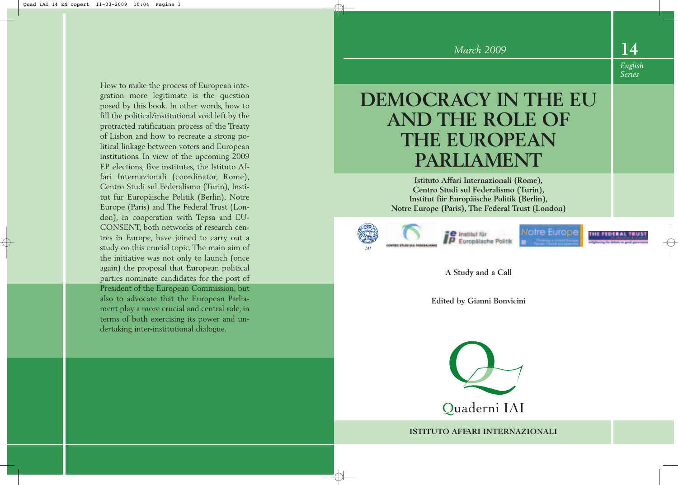#### How to make the process of European integration more legitimate is the question posed by this book. In other words, how to fill the political/institutional void left by the protracted ratification process of the Treaty of Lisbon and how to recreate a strong political linkage between voters and European institutions. In view of the upcoming 2009 EP elections, five institutes, the Istituto Affari Internazionali (coordinator, Rome), Centro Studi sul Federalismo (Turin), Institut für Europäische Politik (Berlin), Notre Europe (Paris) and The Federal Trust (London), in cooperation with Tepsa and EU-CONSENT, both networks of research centres in Europe, have joined to carry out a study on this crucial topic. The main aim of the initiative was not only to launch (once again) the proposal that European political parties nominate candidates for the post of President of the European Commission, but also to advocate that the European Parliament play a more crucial and central role, in terms of both exercising its power and un-

dertaking inter-institutional dialogue.

# **DEMOCRACY IN THE EU AND THE ROLE OF THE EUROPEAN PARLIAMENT**

**Istituto Affari Internazionali (Rome), Centro Studi sul Federalismo (Turin), Institut für Europäische Politik (Berlin), Notre Europe (Paris), The Federal Trust (London)**





Notre Europe

**THE FEDERAL** 

**14**

*English Series*

**A Study and a Call**

**Edited by Gianni Bonvicini**



**ISTITUTO AFFARI INTERNAZIONALI**

*March 2009*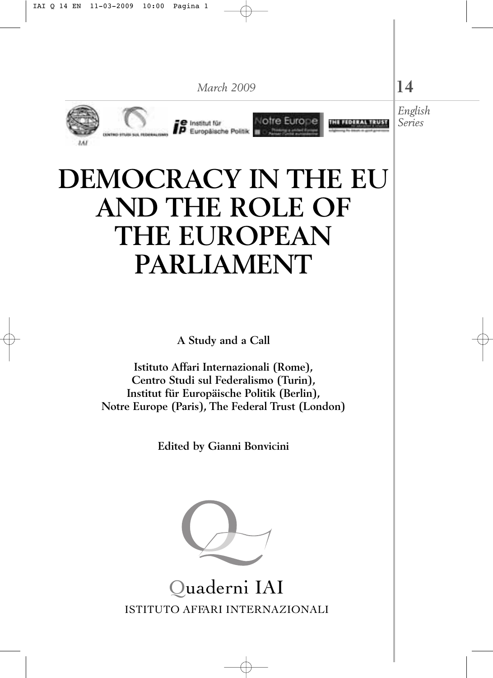

# **DEMOCRACY IN THE EU AND THE ROLE OF THE EUROPEAN PARLIAMENT**

**A Study and a Call**

**Istituto Affari Internazionali (Rome), Centro Studi sul Federalismo (Turin), Institut für Europäische Politik (Berlin), Notre Europe (Paris), The Federal Trust (London)**

**Edited by Gianni Bonvicini**



ISTITUTO AFFARI INTERNAZIONALI Quaderni IAI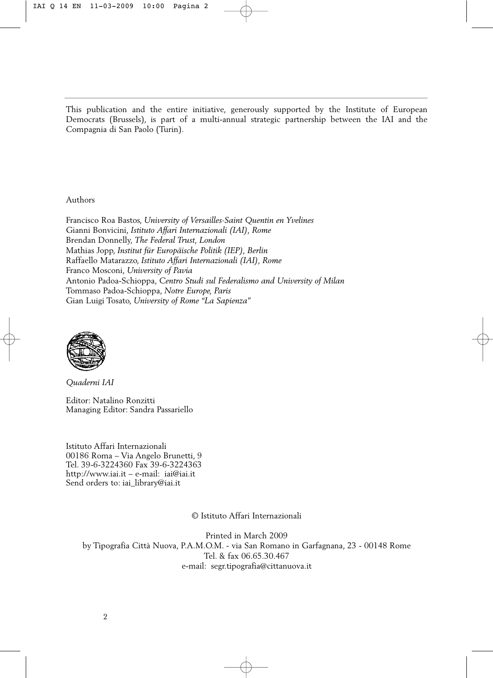This publication and the entire initiative, generously supported by the Institute of European Democrats (Brussels), is part of a multi-annual strategic partnership between the IAI and the Compagnia di San Paolo (Turin).

Authors

Francisco Roa Bastos, *University of Versailles-Saint Quentin en Yvelines* Gianni Bonvicini, *Istituto Affari Internazionali (IAI), Rome* Brendan Donnelly, *The Federal Trust, London* Mathias Jopp, *Institut für Europäische Politik (IEP), Berlin* Raffaello Matarazzo, *Istituto Affari Internazionali (IAI), Rome* Franco Mosconi, *University of Pavia* Antonio Padoa-Schioppa, *Centro Studi sul Federalismo and University of Milan* Tommaso Padoa-Schioppa, *Notre Europe, Paris* Gian Luigi Tosato, *University of Rome "La Sapienza"*



*Quaderni IAI*

Editor: Natalino Ronzitti Managing Editor: Sandra Passariello

Istituto Affari Internazionali 00186 Roma – Via Angelo Brunetti, 9 Tel. 39-6-3224360 Fax 39-6-3224363 <http://www.iai.it> – e-mail: iai@iai.it Send orders to: iai\_library@iai.it

© Istituto Affari Internazionali

Printed in March 2009 by Tipografia Città Nuova, P.A.M.O.M. - via San Romano in Garfagnana, 23 - 00148 Rome Tel. & fax 06.65.30.467 e-mail: segr.tipografia@cittanuova.it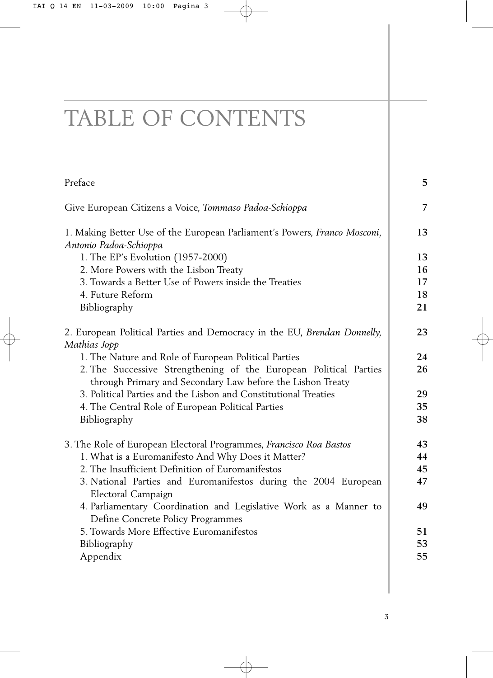# TABLE OF CONTENTS

| Preface                                                                                                                         | 5        |
|---------------------------------------------------------------------------------------------------------------------------------|----------|
| Give European Citizens a Voice, Tommaso Padoa-Schioppa                                                                          | 7        |
| 1. Making Better Use of the European Parliament's Powers, Franco Mosconi,<br>Antonio Padoa-Schioppa                             |          |
| 1. The EP's Evolution (1957-2000)                                                                                               | 13       |
| 2. More Powers with the Lisbon Treaty                                                                                           | 16       |
| 3. Towards a Better Use of Powers inside the Treaties                                                                           | 17       |
| 4. Future Reform                                                                                                                | 18       |
| Bibliography                                                                                                                    | 21       |
| 2. European Political Parties and Democracy in the EU, Brendan Donnelly,<br>Mathias Jopp                                        | 23       |
| 1. The Nature and Role of European Political Parties                                                                            | 24       |
| 2. The Successive Strengthening of the European Political Parties<br>through Primary and Secondary Law before the Lisbon Treaty | 26       |
| 3. Political Parties and the Lisbon and Constitutional Treaties                                                                 | 29       |
| 4. The Central Role of European Political Parties                                                                               | 35       |
| Bibliography                                                                                                                    | 38       |
|                                                                                                                                 |          |
| 3. The Role of European Electoral Programmes, Francisco Roa Bastos                                                              | 43<br>44 |
| 1. What is a Euromanifesto And Why Does it Matter?<br>2. The Insufficient Definition of Euromanifestos                          | 45       |
| 3. National Parties and Euromanifestos during the 2004 European                                                                 | 47       |
| Electoral Campaign                                                                                                              |          |
| 4. Parliamentary Coordination and Legislative Work as a Manner to<br>Define Concrete Policy Programmes                          | 49       |
| 5. Towards More Effective Euromanifestos                                                                                        | 51       |
| Bibliography                                                                                                                    | 53       |
| Appendix                                                                                                                        | 55       |
|                                                                                                                                 |          |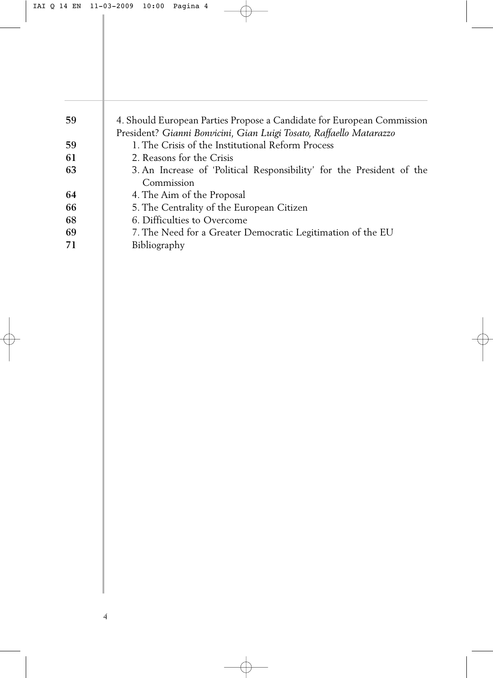| 59  | 4. Should European Parties Propose a Candidate for European Commission |
|-----|------------------------------------------------------------------------|
|     | President? Gianni Bonvicini, Gian Luigi Tosato, Raffaello Matarazzo    |
| -59 | 1. The Crisis of the Institutional Reform Process                      |
| -61 | 2. Reasons for the Crisis                                              |
| 63  | 3. An Increase of 'Political Responsibility' for the President of the  |
|     | Commission                                                             |
| -64 | 4. The Aim of the Proposal                                             |
| 66  | 5. The Centrality of the European Citizen                              |
| 68  | 6. Difficulties to Overcome                                            |
| 69  | 7. The Need for a Greater Democratic Legitimation of the EU            |
| 71  | Bibliography                                                           |
|     |                                                                        |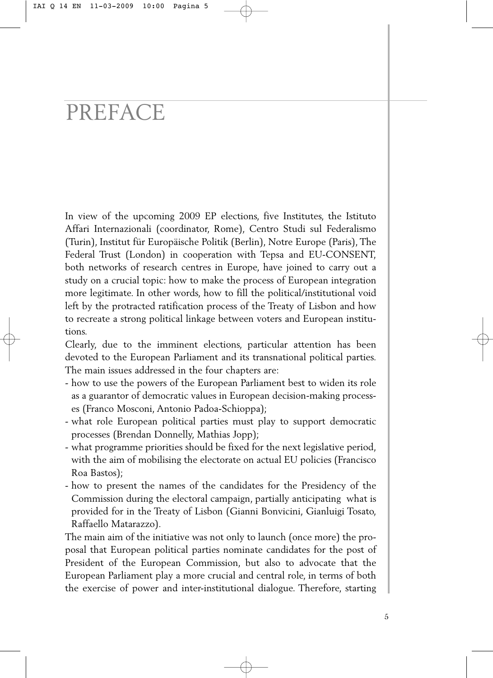# PREFACE

In view of the upcoming 2009 EP elections, five Institutes, the Istituto Affari Internazionali (coordinator, Rome), Centro Studi sul Federalismo (Turin), Institut für Europäische Politik (Berlin), Notre Europe (Paris), The Federal Trust (London) in cooperation with Tepsa and EU-CONSENT, both networks of research centres in Europe, have joined to carry out a study on a crucial topic: how to make the process of European integration more legitimate. In other words, how to fill the political/institutional void left by the protracted ratification process of the Treaty of Lisbon and how to recreate a strong political linkage between voters and European institutions.

Clearly, due to the imminent elections, particular attention has been devoted to the European Parliament and its transnational political parties. The main issues addressed in the four chapters are:

- how to use the powers of the European Parliament best to widen its role as a guarantor of democratic values in European decision-making processes (Franco Mosconi, Antonio Padoa-Schioppa);
- what role European political parties must play to support democratic processes (Brendan Donnelly, Mathias Jopp);
- what programme priorities should be fixed for the next legislative period, with the aim of mobilising the electorate on actual EU policies (Francisco Roa Bastos);
- how to present the names of the candidates for the Presidency of the Commission during the electoral campaign, partially anticipating what is provided for in the Treaty of Lisbon (Gianni Bonvicini, Gianluigi Tosato, Raffaello Matarazzo).

The main aim of the initiative was not only to launch (once more) the proposal that European political parties nominate candidates for the post of President of the European Commission, but also to advocate that the European Parliament play a more crucial and central role, in terms of both the exercise of power and inter-institutional dialogue. Therefore, starting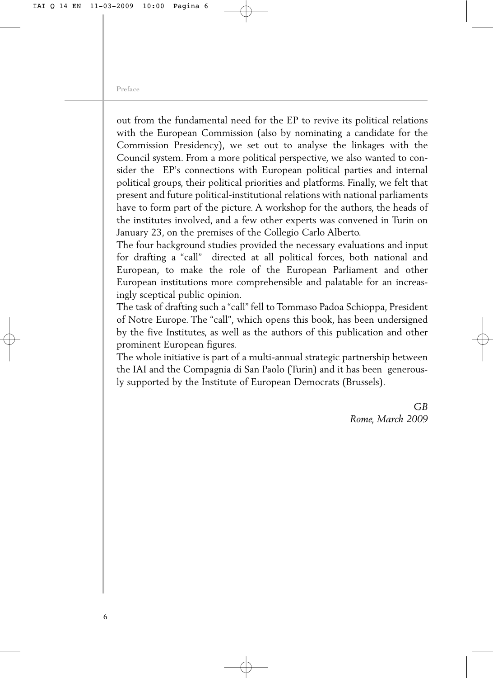out from the fundamental need for the EP to revive its political relations with the European Commission (also by nominating a candidate for the Commission Presidency), we set out to analyse the linkages with the Council system. From a more political perspective, we also wanted to consider the EP's connections with European political parties and internal political groups, their political priorities and platforms. Finally, we felt that present and future political-institutional relations with national parliaments have to form part of the picture. A workshop for the authors, the heads of the institutes involved, and a few other experts was convened in Turin on January 23, on the premises of the Collegio Carlo Alberto.

The four background studies provided the necessary evaluations and input for drafting a "call" directed at all political forces, both national and European, to make the role of the European Parliament and other European institutions more comprehensible and palatable for an increasingly sceptical public opinion.

The task of drafting such a "call" fell to Tommaso Padoa Schioppa, President of Notre Europe. The "call", which opens this book, has been undersigned by the five Institutes, as well as the authors of this publication and other prominent European figures.

The whole initiative is part of a multi-annual strategic partnership between the IAI and the Compagnia di San Paolo (Turin) and it has been generously supported by the Institute of European Democrats (Brussels).

> *GB Rome, March 2009*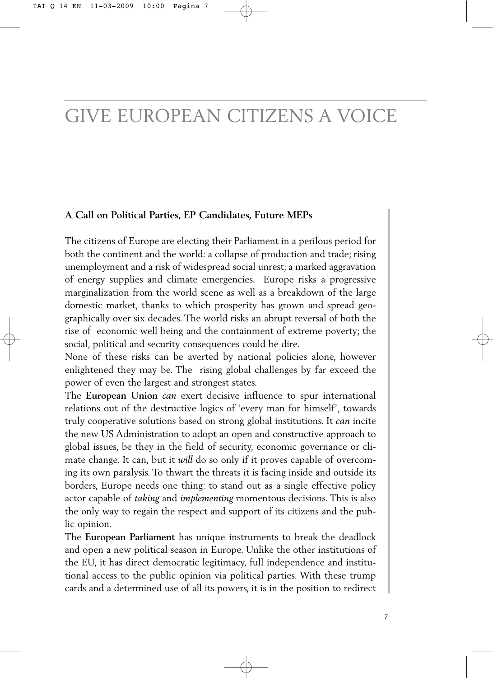### GIVE EUROPEAN CITIZENS A VOICE

#### **A Call on Political Parties, EP Candidates, Future MEPs**

The citizens of Europe are electing their Parliament in a perilous period for both the continent and the world: a collapse of production and trade; rising unemployment and a risk of widespread social unrest; a marked aggravation of energy supplies and climate emergencies. Europe risks a progressive marginalization from the world scene as well as a breakdown of the large domestic market, thanks to which prosperity has grown and spread geographically over six decades. The world risks an abrupt reversal of both the rise of economic well being and the containment of extreme poverty; the social, political and security consequences could be dire.

None of these risks can be averted by national policies alone, however enlightened they may be. The rising global challenges by far exceed the power of even the largest and strongest states.

The **European Union** *can* exert decisive influence to spur international relations out of the destructive logics of 'every man for himself', towards truly cooperative solutions based on strong global institutions. It *can* incite the new US Administration to adopt an open and constructive approach to global issues, be they in the field of security, economic governance or climate change. It can, but it *will* do so only if it proves capable of overcoming its own paralysis. To thwart the threats it is facing inside and outside its borders, Europe needs one thing: to stand out as a single effective policy actor capable of *taking* and *implementing* momentous decisions. This is also the only way to regain the respect and support of its citizens and the public opinion.

The **European Parliament** has unique instruments to break the deadlock and open a new political season in Europe. Unlike the other institutions of the EU, it has direct democratic legitimacy, full independence and institutional access to the public opinion via political parties. With these trump cards and a determined use of all its powers, it is in the position to redirect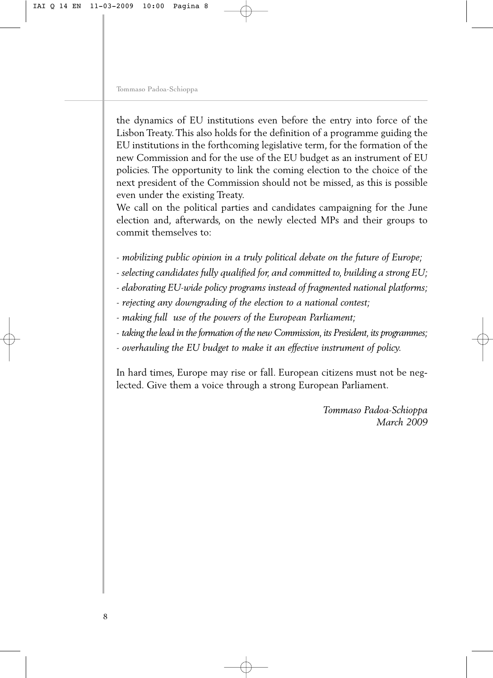the dynamics of EU institutions even before the entry into force of the Lisbon Treaty. This also holds for the definition of a programme guiding the EU institutions in the forthcoming legislative term, for the formation of the new Commission and for the use of the EU budget as an instrument of EU policies. The opportunity to link the coming election to the choice of the next president of the Commission should not be missed, as this is possible even under the existing Treaty.

We call on the political parties and candidates campaigning for the June election and, afterwards, on the newly elected MPs and their groups to commit themselves to:

- *mobilizing public opinion in a truly political debate on the future of Europe;*
- *selecting candidates fully qualified for, and committed to, building a strong EU;*
- *elaborating EU-wide policy programs instead of fragmented national platforms;*
- *rejecting any downgrading of the election to a national contest;*
- *making full use of the powers of the European Parliament;*
- *taking the lead in the formation of the new Commission, its President, its programmes;*
- *overhauling the EU budget to make it an effective instrument of policy.*

In hard times, Europe may rise or fall. European citizens must not be neglected. Give them a voice through a strong European Parliament.

> *Tommaso Padoa-Schioppa March 2009*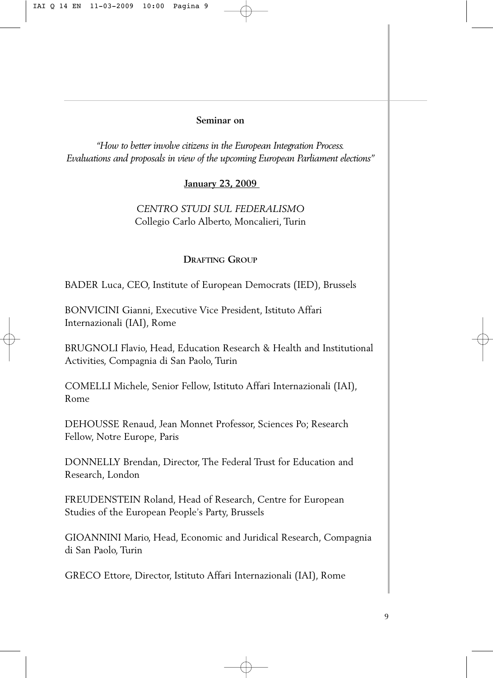#### **Seminar on**

*"How to better involve citizens in the European Integration Process. Evaluations and proposals in view of the upcoming European Parliament elections"*

#### **January 23, 2009**

#### *CENTRO STUDI SUL FEDERALISMO*  Collegio Carlo Alberto, Moncalieri, Turin

#### **DRAFTING GROUP**

BADER Luca, CEO, Institute of European Democrats (IED), Brussels

BONVICINI Gianni, Executive Vice President, Istituto Affari Internazionali (IAI), Rome

BRUGNOLI Flavio, Head, Education Research & Health and Institutional Activities, Compagnia di San Paolo, Turin

COMELLI Michele, Senior Fellow, Istituto Affari Internazionali (IAI), Rome

DEHOUSSE Renaud, Jean Monnet Professor, Sciences Po; Research Fellow, Notre Europe*,* Paris

DONNELLY Brendan, Director, The Federal Trust for Education and Research, London

FREUDENSTEIN Roland, Head of Research, Centre for European Studies of the European People's Party, Brussels

GIOANNINI Mario, Head, Economic and Juridical Research, Compagnia di San Paolo, Turin

GRECO Ettore, Director, Istituto Affari Internazionali (IAI), Rome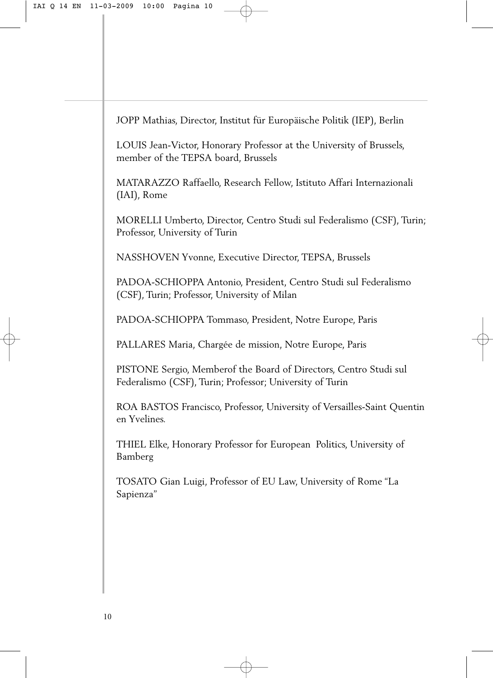JOPP Mathias, Director, Institut für Europäische Politik (IEP), Berlin

LOUIS Jean-Victor, Honorary Professor at the University of Brussels, member of the TEPSA board, Brussels

MATARAZZO Raffaello, Research Fellow, Istituto Affari Internazionali (IAI), Rome

MORELLI Umberto, Director, Centro Studi sul Federalismo (CSF), Turin; Professor, University of Turin

NASSHOVEN Yvonne, Executive Director, TEPSA, Brussels

PADOA-SCHIOPPA Antonio, President, Centro Studi sul Federalismo (CSF), Turin; Professor, University of Milan

PADOA-SCHIOPPA Tommaso, President, Notre Europe, Paris

PALLARES Maria, Chargée de mission, Notre Europe, Paris

PISTONE Sergio, Memberof the Board of Directors, Centro Studi sul Federalismo (CSF), Turin; Professor; University of Turin

ROA BASTOS Francisco, Professor, University of Versailles-Saint Quentin en Yvelines.

THIEL Elke, Honorary Professor for European Politics, University of Bamberg

TOSATO Gian Luigi, Professor of EU Law, University of Rome "La Sapienza"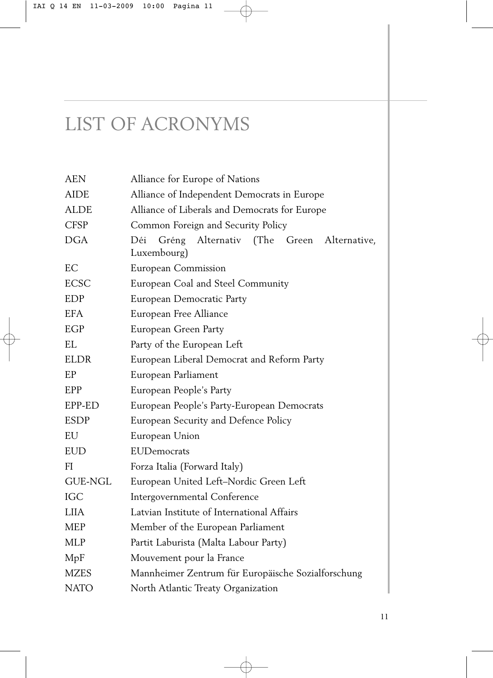### LIST OF ACRONYMS

| <b>AEN</b>     | Alliance for Europe of Nations                                       |
|----------------|----------------------------------------------------------------------|
| <b>AIDE</b>    | Alliance of Independent Democrats in Europe                          |
| ALDE           | Alliance of Liberals and Democrats for Europe                        |
| <b>CFSP</b>    | Common Foreign and Security Policy                                   |
| <b>DGA</b>     | Déi<br>Alternativ (The Green<br>Gréng<br>Alternative,<br>Luxembourg) |
| EC             | European Commission                                                  |
| <b>ECSC</b>    | European Coal and Steel Community                                    |
| EDP            | European Democratic Party                                            |
| EFA.           | European Free Alliance                                               |
| EGP            | European Green Party                                                 |
| <b>EL</b>      | Party of the European Left                                           |
| <b>ELDR</b>    | European Liberal Democrat and Reform Party                           |
| EP             | European Parliament                                                  |
| EPP            | European People's Party                                              |
| EPP-ED         | European People's Party-European Democrats                           |
| <b>ESDP</b>    | European Security and Defence Policy                                 |
| EU             | European Union                                                       |
| <b>EUD</b>     | EUDemocrats                                                          |
| FI.            | Forza Italia (Forward Italy)                                         |
| <b>GUE-NGL</b> | European United Left-Nordic Green Left                               |
| <b>IGC</b>     | Intergovernmental Conference                                         |
| <b>LIIA</b>    | Latvian Institute of International Affairs                           |
| <b>MEP</b>     | Member of the European Parliament                                    |
| <b>MLP</b>     | Partit Laburista (Malta Labour Party)                                |
| MpF            | Mouvement pour la France                                             |
| <b>MZES</b>    | Mannheimer Zentrum für Europäische Sozialforschung                   |
| <b>NATO</b>    | North Atlantic Treaty Organization                                   |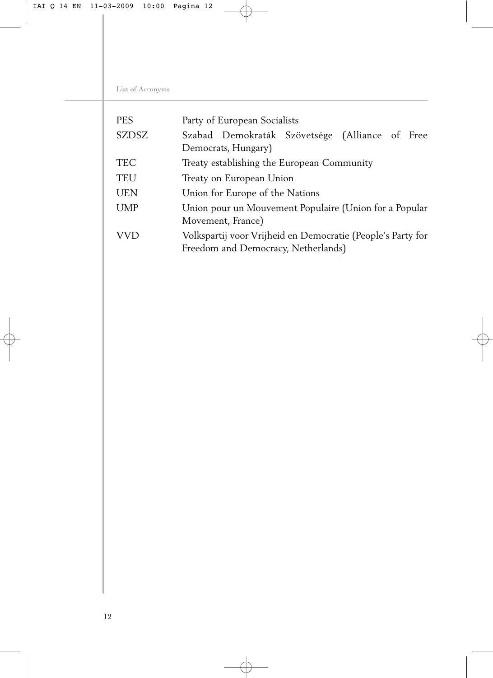List of Acronyms

| <b>PES</b>   | Party of European Socialists                                                                       |
|--------------|----------------------------------------------------------------------------------------------------|
| <b>SZDSZ</b> | Szabad Demokraták Szövetsége (Alliance of Free<br>Democrats, Hungary)                              |
|              |                                                                                                    |
| <b>TEC</b>   | Treaty establishing the European Community                                                         |
| <b>TEU</b>   | Treaty on European Union                                                                           |
| <b>UEN</b>   | Union for Europe of the Nations                                                                    |
| <b>UMP</b>   | Union pour un Mouvement Populaire (Union for a Popular<br>Movement, France)                        |
| VVD          | Volkspartij voor Vrijheid en Democratie (People's Party for<br>Freedom and Democracy, Netherlands) |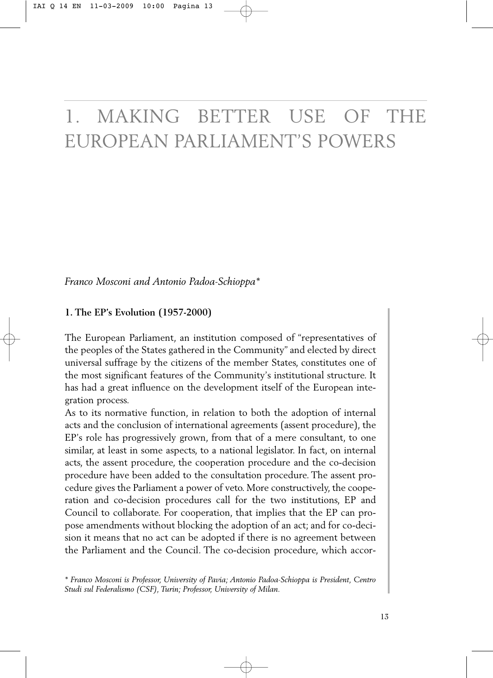## 1. MAKING BETTER USE OF THE EUROPEAN PARLIAMENT'S POWERS

*Franco Mosconi and Antonio Padoa-Schioppa\** 

#### **1. The EP's Evolution (1957-2000)**

The European Parliament, an institution composed of "representatives of the peoples of the States gathered in the Community" and elected by direct universal suffrage by the citizens of the member States, constitutes one of the most significant features of the Community's institutional structure. It has had a great influence on the development itself of the European integration process.

As to its normative function, in relation to both the adoption of internal acts and the conclusion of international agreements (assent procedure), the EP's role has progressively grown, from that of a mere consultant, to one similar, at least in some aspects, to a national legislator. In fact, on internal acts, the assent procedure, the cooperation procedure and the co-decision procedure have been added to the consultation procedure. The assent procedure gives the Parliament a power of veto. More constructively, the cooperation and co-decision procedures call for the two institutions, EP and Council to collaborate. For cooperation, that implies that the EP can propose amendments without blocking the adoption of an act; and for co-decision it means that no act can be adopted if there is no agreement between the Parliament and the Council. The co-decision procedure, which accor-

*<sup>\*</sup> Franco Mosconi is Professor, University of Pavia; Antonio Padoa-Schioppa is President, Centro Studi sul Federalismo (CSF), Turin; Professor, University of Milan.*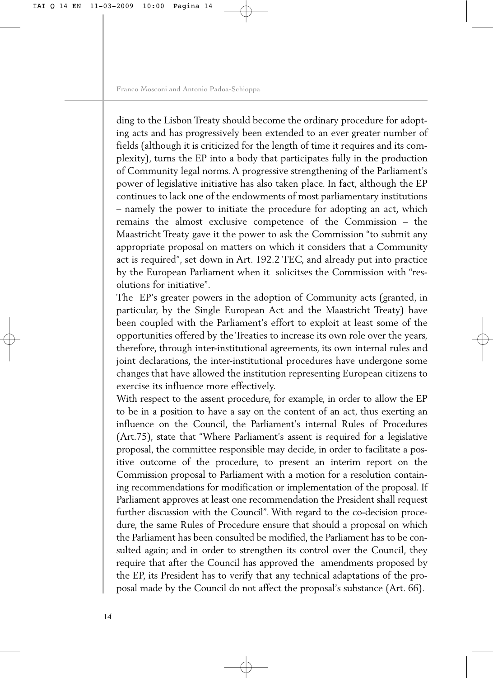ding to the Lisbon Treaty should become the ordinary procedure for adopting acts and has progressively been extended to an ever greater number of fields (although it is criticized for the length of time it requires and its complexity), turns the EP into a body that participates fully in the production of Community legal norms. A progressive strengthening of the Parliament's power of legislative initiative has also taken place. In fact, although the EP continues to lack one of the endowments of most parliamentary institutions – namely the power to initiate the procedure for adopting an act, which remains the almost exclusive competence of the Commission – the Maastricht Treaty gave it the power to ask the Commission "to submit any appropriate proposal on matters on which it considers that a Community act is required", set down in Art. 192.2 TEC, and already put into practice by the European Parliament when it solicitses the Commission with "resolutions for initiative".

The EP's greater powers in the adoption of Community acts (granted, in particular, by the Single European Act and the Maastricht Treaty) have been coupled with the Parliament's effort to exploit at least some of the opportunities offered by the Treaties to increase its own role over the years, therefore, through inter-institutional agreements, its own internal rules and joint declarations, the inter-institutional procedures have undergone some changes that have allowed the institution representing European citizens to exercise its influence more effectively.

With respect to the assent procedure, for example, in order to allow the EP to be in a position to have a say on the content of an act, thus exerting an influence on the Council, the Parliament's internal Rules of Procedures (Art.75), state that "Where Parliament's assent is required for a legislative proposal, the committee responsible may decide, in order to facilitate a positive outcome of the procedure, to present an interim report on the Commission proposal to Parliament with a motion for a resolution containing recommendations for modification or implementation of the proposal. If Parliament approves at least one recommendation the President shall request further discussion with the Council". With regard to the co-decision procedure, the same Rules of Procedure ensure that should a proposal on which the Parliament has been consulted be modified, the Parliament has to be consulted again; and in order to strengthen its control over the Council, they require that after the Council has approved the amendments proposed by the EP, its President has to verify that any technical adaptations of the proposal made by the Council do not affect the proposal's substance (Art. 66).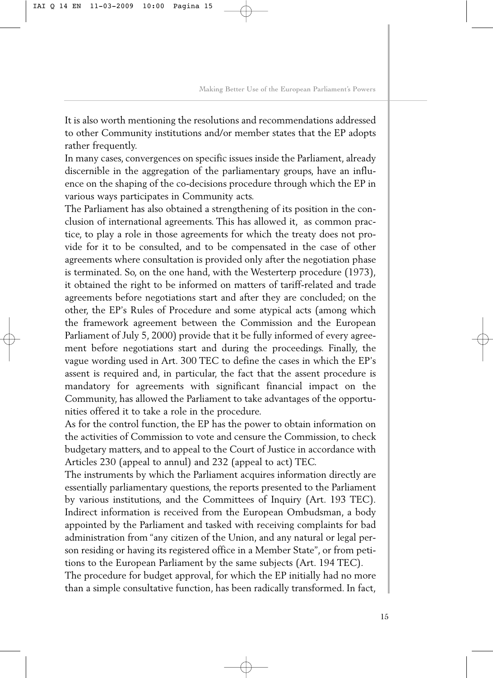It is also worth mentioning the resolutions and recommendations addressed to other Community institutions and/or member states that the EP adopts rather frequently.

In many cases, convergences on specific issues inside the Parliament, already discernible in the aggregation of the parliamentary groups, have an influence on the shaping of the co-decisions procedure through which the EP in various ways participates in Community acts.

The Parliament has also obtained a strengthening of its position in the conclusion of international agreements. This has allowed it, as common practice, to play a role in those agreements for which the treaty does not provide for it to be consulted, and to be compensated in the case of other agreements where consultation is provided only after the negotiation phase is terminated. So, on the one hand, with the Westerterp procedure (1973), it obtained the right to be informed on matters of tariff-related and trade agreements before negotiations start and after they are concluded; on the other, the EP's Rules of Procedure and some atypical acts (among which the framework agreement between the Commission and the European Parliament of July 5, 2000) provide that it be fully informed of every agreement before negotiations start and during the proceedings. Finally, the vague wording used in Art. 300 TEC to define the cases in which the EP's assent is required and, in particular, the fact that the assent procedure is mandatory for agreements with significant financial impact on the Community, has allowed the Parliament to take advantages of the opportunities offered it to take a role in the procedure.

As for the control function, the EP has the power to obtain information on the activities of Commission to vote and censure the Commission, to check budgetary matters, and to appeal to the Court of Justice in accordance with Articles 230 (appeal to annul) and 232 (appeal to act) TEC.

The instruments by which the Parliament acquires information directly are essentially parliamentary questions, the reports presented to the Parliament by various institutions, and the Committees of Inquiry (Art. 193 TEC). Indirect information is received from the European Ombudsman, a body appointed by the Parliament and tasked with receiving complaints for bad administration from "any citizen of the Union, and any natural or legal person residing or having its registered office in a Member State", or from petitions to the European Parliament by the same subjects (Art. 194 TEC).

The procedure for budget approval, for which the EP initially had no more than a simple consultative function, has been radically transformed. In fact,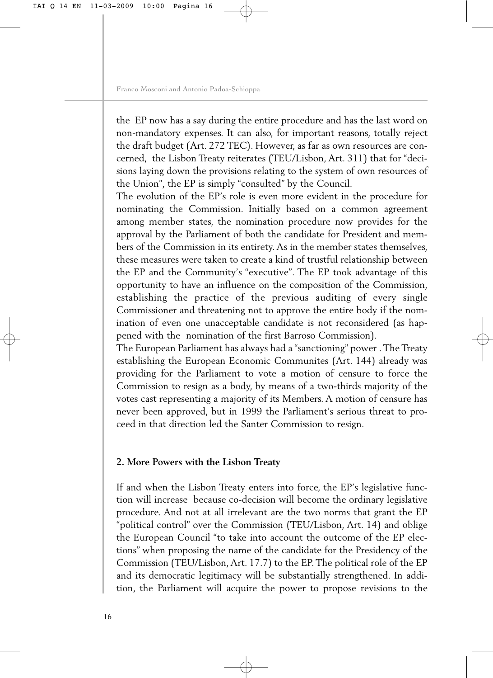the EP now has a say during the entire procedure and has the last word on non-mandatory expenses. It can also, for important reasons, totally reject the draft budget (Art. 272 TEC). However, as far as own resources are concerned, the Lisbon Treaty reiterates (TEU/Lisbon, Art. 311) that for "decisions laying down the provisions relating to the system of own resources of the Union", the EP is simply "consulted" by the Council.

The evolution of the EP's role is even more evident in the procedure for nominating the Commission. Initially based on a common agreement among member states, the nomination procedure now provides for the approval by the Parliament of both the candidate for President and members of the Commission in its entirety. As in the member states themselves, these measures were taken to create a kind of trustful relationship between the EP and the Community's "executive". The EP took advantage of this opportunity to have an influence on the composition of the Commission, establishing the practice of the previous auditing of every single Commissioner and threatening not to approve the entire body if the nomination of even one unacceptable candidate is not reconsidered (as happened with the nomination of the first Barroso Commission).

The European Parliament has always had a "sanctioning" power . The Treaty establishing the European Economic Communites (Art. 144) already was providing for the Parliament to vote a motion of censure to force the Commission to resign as a body, by means of a two-thirds majority of the votes cast representing a majority of its Members. A motion of censure has never been approved, but in 1999 the Parliament's serious threat to proceed in that direction led the Santer Commission to resign.

#### **2. More Powers with the Lisbon Treaty**

If and when the Lisbon Treaty enters into force, the EP's legislative function will increase because co-decision will become the ordinary legislative procedure. And not at all irrelevant are the two norms that grant the EP "political control" over the Commission (TEU/Lisbon, Art. 14) and oblige the European Council "to take into account the outcome of the EP elections" when proposing the name of the candidate for the Presidency of the Commission (TEU/Lisbon, Art. 17.7) to the EP. The political role of the EP and its democratic legitimacy will be substantially strengthened. In addition, the Parliament will acquire the power to propose revisions to the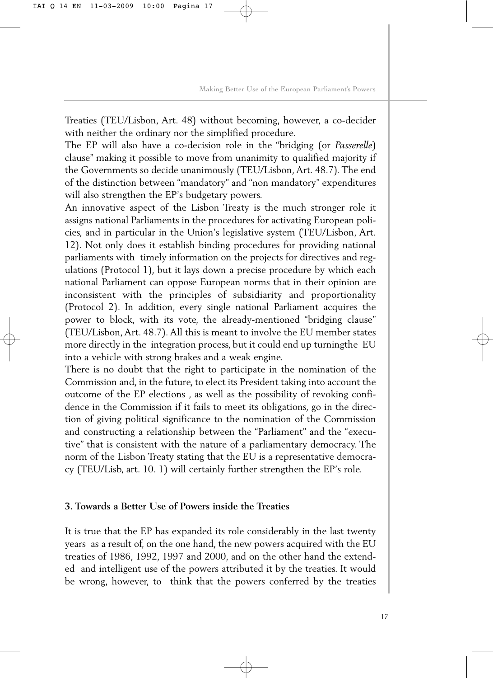Treaties (TEU/Lisbon, Art. 48) without becoming, however, a co-decider with neither the ordinary nor the simplified procedure.

The EP will also have a co-decision role in the "bridging (or *Passerelle*) clause" making it possible to move from unanimity to qualified majority if the Governments so decide unanimously (TEU/Lisbon, Art. 48.7). The end of the distinction between "mandatory" and "non mandatory" expenditures will also strengthen the EP's budgetary powers.

An innovative aspect of the Lisbon Treaty is the much stronger role it assigns national Parliaments in the procedures for activating European policies, and in particular in the Union's legislative system (TEU/Lisbon, Art. 12). Not only does it establish binding procedures for providing national parliaments with timely information on the projects for directives and regulations (Protocol 1), but it lays down a precise procedure by which each national Parliament can oppose European norms that in their opinion are inconsistent with the principles of subsidiarity and proportionality (Protocol 2). In addition, every single national Parliament acquires the power to block, with its vote, the already-mentioned "bridging clause" (TEU/Lisbon, Art. 48.7). All this is meant to involve the EU member states more directly in the integration process, but it could end up turningthe EU into a vehicle with strong brakes and a weak engine.

There is no doubt that the right to participate in the nomination of the Commission and, in the future, to elect its President taking into account the outcome of the EP elections , as well as the possibility of revoking confidence in the Commission if it fails to meet its obligations, go in the direction of giving political significance to the nomination of the Commission and constructing a relationship between the "Parliament" and the "executive" that is consistent with the nature of a parliamentary democracy. The norm of the Lisbon Treaty stating that the EU is a representative democracy (TEU/Lisb, art. 10. 1) will certainly further strengthen the EP's role.

#### **3. Towards a Better Use of Powers inside the Treaties**

It is true that the EP has expanded its role considerably in the last twenty years as a result of, on the one hand, the new powers acquired with the EU treaties of 1986, 1992, 1997 and 2000, and on the other hand the extended and intelligent use of the powers attributed it by the treaties. It would be wrong, however, to think that the powers conferred by the treaties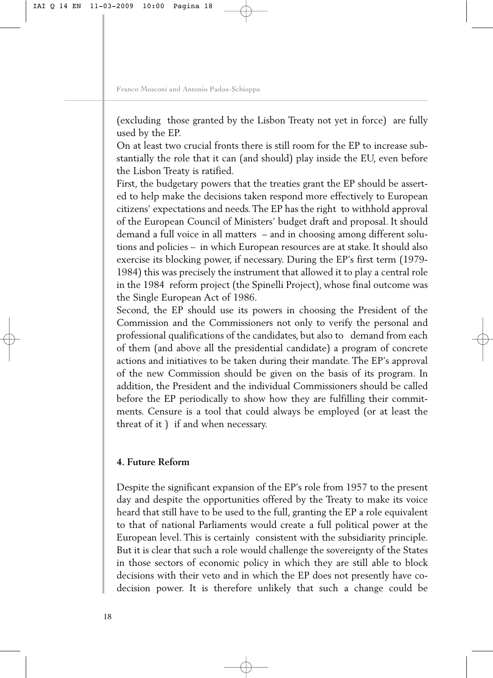(excluding those granted by the Lisbon Treaty not yet in force) are fully used by the EP.

On at least two crucial fronts there is still room for the EP to increase substantially the role that it can (and should) play inside the EU, even before the Lisbon Treaty is ratified.

First, the budgetary powers that the treaties grant the EP should be asserted to help make the decisions taken respond more effectively to European citizens' expectations and needs. The EP has the right to withhold approval of the European Council of Ministers' budget draft and proposal. It should demand a full voice in all matters – and in choosing among different solutions and policies – in which European resources are at stake. It should also exercise its blocking power, if necessary. During the EP's first term (1979- 1984) this was precisely the instrument that allowed it to play a central role in the 1984 reform project (the Spinelli Project), whose final outcome was the Single European Act of 1986.

Second, the EP should use its powers in choosing the President of the Commission and the Commissioners not only to verify the personal and professional qualifications of the candidates, but also to demand from each of them (and above all the presidential candidate) a program of concrete actions and initiatives to be taken during their mandate. The EP's approval of the new Commission should be given on the basis of its program. In addition, the President and the individual Commissioners should be called before the EP periodically to show how they are fulfilling their commitments. Censure is a tool that could always be employed (or at least the threat of it ) if and when necessary.

#### **4. Future Reform**

Despite the significant expansion of the EP's role from 1957 to the present day and despite the opportunities offered by the Treaty to make its voice heard that still have to be used to the full, granting the EP a role equivalent to that of national Parliaments would create a full political power at the European level. This is certainly consistent with the subsidiarity principle. But it is clear that such a role would challenge the sovereignty of the States in those sectors of economic policy in which they are still able to block decisions with their veto and in which the EP does not presently have codecision power. It is therefore unlikely that such a change could be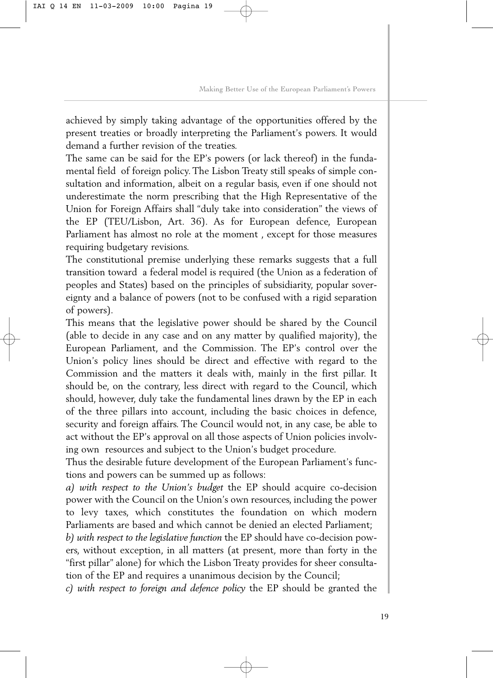achieved by simply taking advantage of the opportunities offered by the present treaties or broadly interpreting the Parliament's powers. It would demand a further revision of the treaties.

The same can be said for the EP's powers (or lack thereof) in the fundamental field of foreign policy. The Lisbon Treaty still speaks of simple consultation and information, albeit on a regular basis, even if one should not underestimate the norm prescribing that the High Representative of the Union for Foreign Affairs shall "duly take into consideration" the views of the EP (TEU/Lisbon, Art. 36). As for European defence, European Parliament has almost no role at the moment , except for those measures requiring budgetary revisions.

The constitutional premise underlying these remarks suggests that a full transition toward a federal model is required (the Union as a federation of peoples and States) based on the principles of subsidiarity, popular sovereignty and a balance of powers (not to be confused with a rigid separation of powers).

This means that the legislative power should be shared by the Council (able to decide in any case and on any matter by qualified majority), the European Parliament, and the Commission. The EP's control over the Union's policy lines should be direct and effective with regard to the Commission and the matters it deals with, mainly in the first pillar. It should be, on the contrary, less direct with regard to the Council, which should, however, duly take the fundamental lines drawn by the EP in each of the three pillars into account, including the basic choices in defence, security and foreign affairs. The Council would not, in any case, be able to act without the EP's approval on all those aspects of Union policies involving own resources and subject to the Union's budget procedure.

Thus the desirable future development of the European Parliament's functions and powers can be summed up as follows:

*a) with respect to the Union's budget* the EP should acquire co-decision power with the Council on the Union's own resources, including the power to levy taxes, which constitutes the foundation on which modern Parliaments are based and which cannot be denied an elected Parliament;

*b) with respect to the legislative function* the EP should have co-decision powers, without exception, in all matters (at present, more than forty in the "first pillar" alone) for which the Lisbon Treaty provides for sheer consultation of the EP and requires a unanimous decision by the Council;

*c) with respect to foreign and defence policy* the EP should be granted the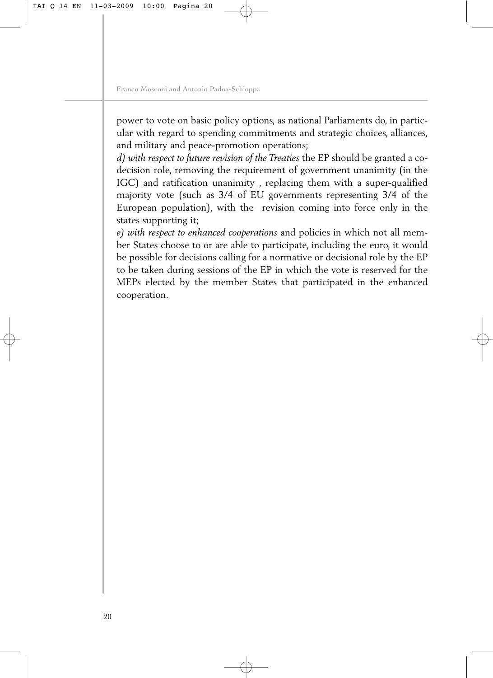power to vote on basic policy options, as national Parliaments do, in particular with regard to spending commitments and strategic choices, alliances, and military and peace-promotion operations;

*d) with respect to future revision of the Treaties* the EP should be granted a codecision role, removing the requirement of government unanimity (in the IGC) and ratification unanimity , replacing them with a super-qualified majority vote (such as 3/4 of EU governments representing 3/4 of the European population), with the revision coming into force only in the states supporting it;

*e) with respect to enhanced cooperations* and policies in which not all member States choose to or are able to participate, including the euro, it would be possible for decisions calling for a normative or decisional role by the EP to be taken during sessions of the EP in which the vote is reserved for the MEPs elected by the member States that participated in the enhanced cooperation.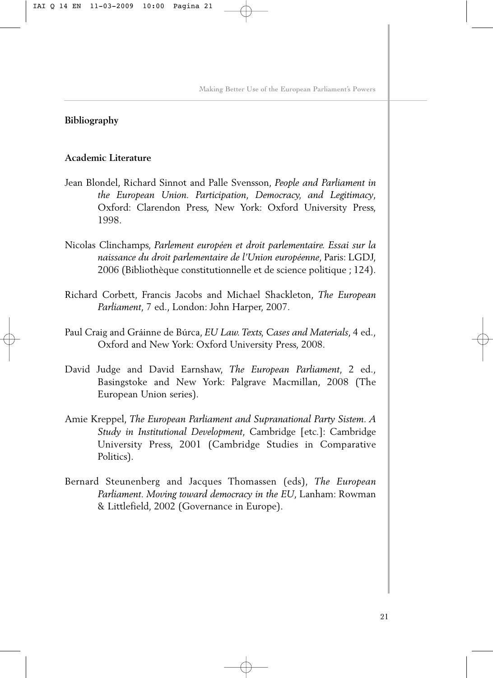#### **Bibliography**

#### **Academic Literature**

- Jean Blondel, Richard Sinnot and Palle Svensson, *People and Parliament in the European Union. Participation, Democracy, and Legitimacy*, Oxford: Clarendon Press, New York: Oxford University Press, 1998.
- Nicolas Clinchamps, *Parlement européen et droit parlementaire. Essai sur la naissance du droit parlementaire de l'Union européenne*, Paris: LGDJ, 2006 (Bibliothèque constitutionnelle et de science politique ; 124).
- Richard Corbett, Francis Jacobs and Michael Shackleton, *The European Parliament*, 7 ed., London: John Harper, 2007.
- Paul Craig and Gráinne de Búrca, *EU Law. Texts, Cases and Materials*, 4 ed., Oxford and New York: Oxford University Press, 2008.
- David Judge and David Earnshaw, *The European Parliament*, 2 ed., Basingstoke and New York: Palgrave Macmillan, 2008 (The European Union series).
- Amie Kreppel, *The European Parliament and Supranational Party Sistem. A Study in Institutional Development*, Cambridge [etc.]: Cambridge University Press, 2001 (Cambridge Studies in Comparative Politics).
- Bernard Steunenberg and Jacques Thomassen (eds), *The European Parliament. Moving toward democracy in the EU*, Lanham: Rowman & Littlefield, 2002 (Governance in Europe).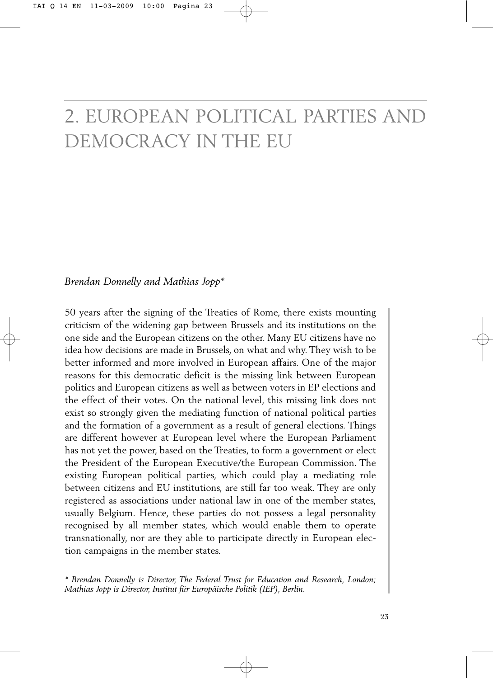### 2. EUROPEAN POLITICAL PARTIES AND DEMOCRACY IN THE EU

#### *Brendan Donnelly and Mathias Jopp\**

50 years after the signing of the Treaties of Rome, there exists mounting criticism of the widening gap between Brussels and its institutions on the one side and the European citizens on the other. Many EU citizens have no idea how decisions are made in Brussels, on what and why. They wish to be better informed and more involved in European affairs. One of the major reasons for this democratic deficit is the missing link between European politics and European citizens as well as between voters in EP elections and the effect of their votes. On the national level, this missing link does not exist so strongly given the mediating function of national political parties and the formation of a government as a result of general elections. Things are different however at European level where the European Parliament has not yet the power, based on the Treaties, to form a government or elect the President of the European Executive/the European Commission. The existing European political parties, which could play a mediating role between citizens and EU institutions, are still far too weak. They are only registered as associations under national law in one of the member states, usually Belgium. Hence, these parties do not possess a legal personality recognised by all member states, which would enable them to operate transnationally, nor are they able to participate directly in European election campaigns in the member states.

*<sup>\*</sup> Brendan Donnelly is Director, The Federal Trust for Education and Research, London; Mathias Jopp is Director, Institut für Europäische Politik (IEP), Berlin.*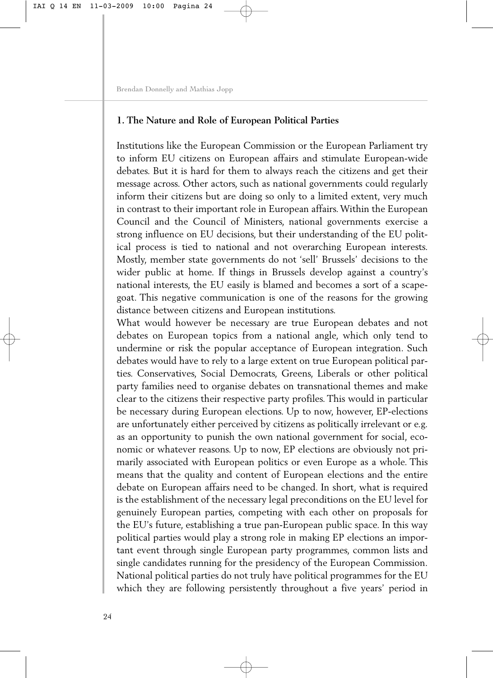#### **1. The Nature and Role of European Political Parties**

Institutions like the European Commission or the European Parliament try to inform EU citizens on European affairs and stimulate European-wide debates. But it is hard for them to always reach the citizens and get their message across. Other actors, such as national governments could regularly inform their citizens but are doing so only to a limited extent, very much in contrast to their important role in European affairs. Within the European Council and the Council of Ministers, national governments exercise a strong influence on EU decisions, but their understanding of the EU political process is tied to national and not overarching European interests. Mostly, member state governments do not 'sell' Brussels' decisions to the wider public at home. If things in Brussels develop against a country's national interests, the EU easily is blamed and becomes a sort of a scapegoat. This negative communication is one of the reasons for the growing distance between citizens and European institutions.

What would however be necessary are true European debates and not debates on European topics from a national angle, which only tend to undermine or risk the popular acceptance of European integration. Such debates would have to rely to a large extent on true European political parties. Conservatives, Social Democrats, Greens, Liberals or other political party families need to organise debates on transnational themes and make clear to the citizens their respective party profiles. This would in particular be necessary during European elections. Up to now, however, EP-elections are unfortunately either perceived by citizens as politically irrelevant or e.g. as an opportunity to punish the own national government for social, economic or whatever reasons. Up to now, EP elections are obviously not primarily associated with European politics or even Europe as a whole. This means that the quality and content of European elections and the entire debate on European affairs need to be changed. In short, what is required is the establishment of the necessary legal preconditions on the EU level for genuinely European parties, competing with each other on proposals for the EU's future, establishing a true pan-European public space. In this way political parties would play a strong role in making EP elections an important event through single European party programmes, common lists and single candidates running for the presidency of the European Commission. National political parties do not truly have political programmes for the EU which they are following persistently throughout a five years' period in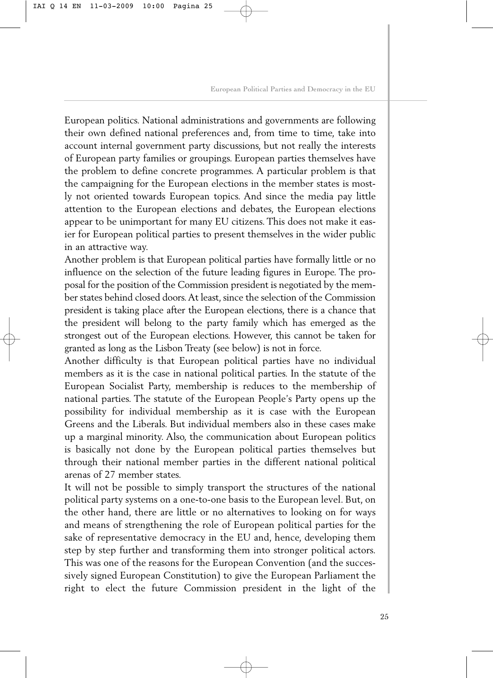European politics. National administrations and governments are following their own defined national preferences and, from time to time, take into account internal government party discussions, but not really the interests of European party families or groupings. European parties themselves have the problem to define concrete programmes. A particular problem is that the campaigning for the European elections in the member states is mostly not oriented towards European topics. And since the media pay little attention to the European elections and debates, the European elections appear to be unimportant for many EU citizens. This does not make it easier for European political parties to present themselves in the wider public in an attractive way.

Another problem is that European political parties have formally little or no influence on the selection of the future leading figures in Europe. The proposal for the position of the Commission president is negotiated by the member states behind closed doors.At least, since the selection of the Commission president is taking place after the European elections, there is a chance that the president will belong to the party family which has emerged as the strongest out of the European elections. However, this cannot be taken for granted as long as the Lisbon Treaty (see below) is not in force.

Another difficulty is that European political parties have no individual members as it is the case in national political parties. In the statute of the European Socialist Party, membership is reduces to the membership of national parties. The statute of the European People's Party opens up the possibility for individual membership as it is case with the European Greens and the Liberals. But individual members also in these cases make up a marginal minority. Also, the communication about European politics is basically not done by the European political parties themselves but through their national member parties in the different national political arenas of 27 member states.

It will not be possible to simply transport the structures of the national political party systems on a one-to-one basis to the European level. But, on the other hand, there are little or no alternatives to looking on for ways and means of strengthening the role of European political parties for the sake of representative democracy in the EU and, hence, developing them step by step further and transforming them into stronger political actors. This was one of the reasons for the European Convention (and the successively signed European Constitution) to give the European Parliament the right to elect the future Commission president in the light of the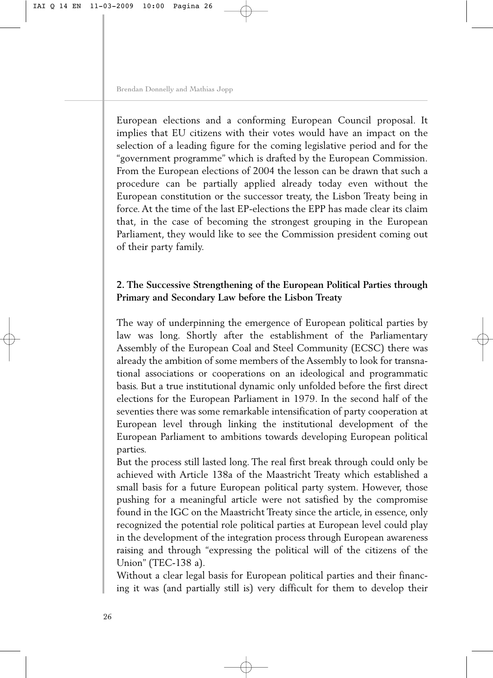European elections and a conforming European Council proposal. It implies that EU citizens with their votes would have an impact on the selection of a leading figure for the coming legislative period and for the "government programme" which is drafted by the European Commission. From the European elections of 2004 the lesson can be drawn that such a procedure can be partially applied already today even without the European constitution or the successor treaty, the Lisbon Treaty being in force. At the time of the last EP-elections the EPP has made clear its claim that, in the case of becoming the strongest grouping in the European Parliament, they would like to see the Commission president coming out of their party family.

#### **2. The Successive Strengthening of the European Political Parties through Primary and Secondary Law before the Lisbon Treaty**

The way of underpinning the emergence of European political parties by law was long. Shortly after the establishment of the Parliamentary Assembly of the European Coal and Steel Community (ECSC) there was already the ambition of some members of the Assembly to look for transnational associations or cooperations on an ideological and programmatic basis. But a true institutional dynamic only unfolded before the first direct elections for the European Parliament in 1979. In the second half of the seventies there was some remarkable intensification of party cooperation at European level through linking the institutional development of the European Parliament to ambitions towards developing European political parties.

But the process still lasted long. The real first break through could only be achieved with Article 138a of the Maastricht Treaty which established a small basis for a future European political party system. However, those pushing for a meaningful article were not satisfied by the compromise found in the IGC on the Maastricht Treaty since the article, in essence, only recognized the potential role political parties at European level could play in the development of the integration process through European awareness raising and through "expressing the political will of the citizens of the Union" (TEC-138 a).

Without a clear legal basis for European political parties and their financing it was (and partially still is) very difficult for them to develop their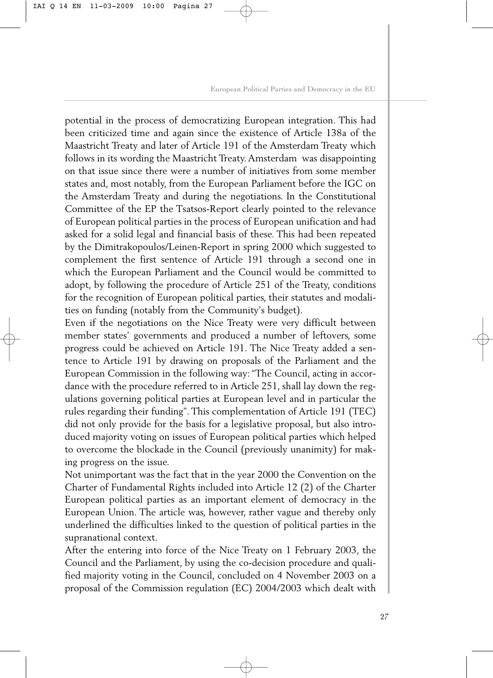potential in the process of democratizing European integration. This had been criticized time and again since the existence of Article 138a of the Maastricht Treaty and later of Article 191 of the Amsterdam Treaty which follows in its wording the Maastricht Treaty. Amsterdam was disappointing on that issue since there were a number of initiatives from some member states and, most notably, from the European Parliament before the IGC on the Amsterdam Treaty and during the negotiations. In the Constitutional Committee of the EP the Tsatsos-Report clearly pointed to the relevance of European political parties in the process of European unification and had asked for a solid legal and financial basis of these. This had been repeated by the Dimitrakopoulos/Leinen-Report in spring 2000 which suggested to complement the first sentence of Article 191 through a second one in which the European Parliament and the Council would be committed to adopt, by following the procedure of Article 251 of the Treaty, conditions for the recognition of European political parties, their statutes and modalities on funding (notably from the Community's budget).

Even if the negotiations on the Nice Treaty were very difficult between member states' governments and produced a number of leftovers, some progress could be achieved on Article 191. The Nice Treaty added a sentence to Article 191 by drawing on proposals of the Parliament and the European Commission in the following way: "The Council, acting in accordance with the procedure referred to in Article 251, shall lay down the regulations governing political parties at European level and in particular the rules regarding their funding". This complementation of Article 191 (TEC) did not only provide for the basis for a legislative proposal, but also introduced majority voting on issues of European political parties which helped to overcome the blockade in the Council (previously unanimity) for making progress on the issue.

Not unimportant was the fact that in the year 2000 the Convention on the Charter of Fundamental Rights included into Article 12 (2) of the Charter European political parties as an important element of democracy in the European Union. The article was, however, rather vague and thereby only underlined the difficulties linked to the question of political parties in the supranational context.

After the entering into force of the Nice Treaty on 1 February 2003, the Council and the Parliament, by using the co-decision procedure and qualified majority voting in the Council, concluded on 4 November 2003 on a proposal of the Commission regulation (EC) 2004/2003 which dealt with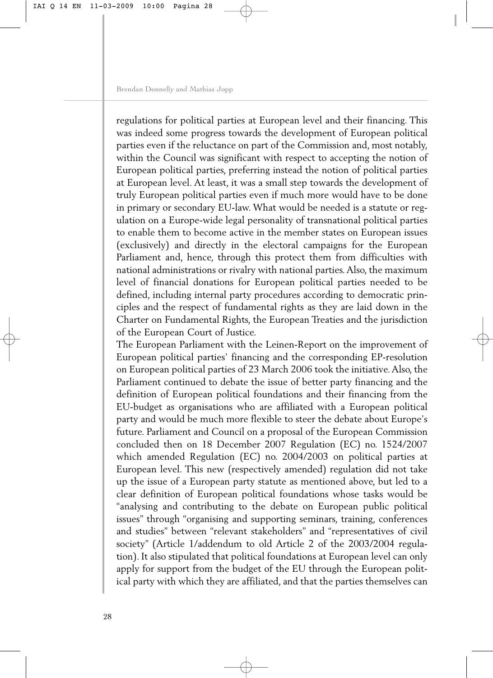regulations for political parties at European level and their financing. This was indeed some progress towards the development of European political parties even if the reluctance on part of the Commission and, most notably, within the Council was significant with respect to accepting the notion of European political parties, preferring instead the notion of political parties at European level. At least, it was a small step towards the development of truly European political parties even if much more would have to be done in primary or secondary EU-law. What would be needed is a statute or regulation on a Europe-wide legal personality of transnational political parties to enable them to become active in the member states on European issues (exclusively) and directly in the electoral campaigns for the European Parliament and, hence, through this protect them from difficulties with national administrations or rivalry with national parties. Also, the maximum level of financial donations for European political parties needed to be defined, including internal party procedures according to democratic principles and the respect of fundamental rights as they are laid down in the Charter on Fundamental Rights, the European Treaties and the jurisdiction of the European Court of Justice.

The European Parliament with the Leinen-Report on the improvement of European political parties' financing and the corresponding EP-resolution on European political parties of 23 March 2006 took the initiative.Also, the Parliament continued to debate the issue of better party financing and the definition of European political foundations and their financing from the EU-budget as organisations who are affiliated with a European political party and would be much more flexible to steer the debate about Europe's future. Parliament and Council on a proposal of the European Commission concluded then on 18 December 2007 Regulation (EC) no. 1524/2007 which amended Regulation (EC) no. 2004/2003 on political parties at European level. This new (respectively amended) regulation did not take up the issue of a European party statute as mentioned above, but led to a clear definition of European political foundations whose tasks would be "analysing and contributing to the debate on European public political issues" through "organising and supporting seminars, training, conferences and studies" between "relevant stakeholders" and "representatives of civil society" (Article 1/addendum to old Article 2 of the 2003/2004 regulation). It also stipulated that political foundations at European level can only apply for support from the budget of the EU through the European political party with which they are affiliated, and that the parties themselves can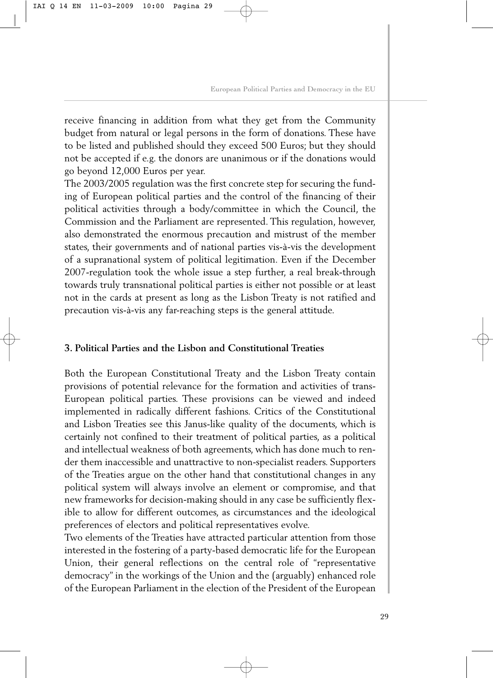receive financing in addition from what they get from the Community budget from natural or legal persons in the form of donations. These have to be listed and published should they exceed 500 Euros; but they should not be accepted if e.g. the donors are unanimous or if the donations would go beyond 12,000 Euros per year.

The 2003/2005 regulation was the first concrete step for securing the funding of European political parties and the control of the financing of their political activities through a body/committee in which the Council, the Commission and the Parliament are represented. This regulation, however, also demonstrated the enormous precaution and mistrust of the member states, their governments and of national parties vis-à-vis the development of a supranational system of political legitimation. Even if the December 2007-regulation took the whole issue a step further, a real break-through towards truly transnational political parties is either not possible or at least not in the cards at present as long as the Lisbon Treaty is not ratified and precaution vis-à-vis any far-reaching steps is the general attitude.

#### **3. Political Parties and the Lisbon and Constitutional Treaties**

Both the European Constitutional Treaty and the Lisbon Treaty contain provisions of potential relevance for the formation and activities of trans-European political parties. These provisions can be viewed and indeed implemented in radically different fashions. Critics of the Constitutional and Lisbon Treaties see this Janus-like quality of the documents, which is certainly not confined to their treatment of political parties, as a political and intellectual weakness of both agreements, which has done much to render them inaccessible and unattractive to non-specialist readers. Supporters of the Treaties argue on the other hand that constitutional changes in any political system will always involve an element or compromise, and that new frameworks for decision-making should in any case be sufficiently flexible to allow for different outcomes, as circumstances and the ideological preferences of electors and political representatives evolve.

Two elements of the Treaties have attracted particular attention from those interested in the fostering of a party-based democratic life for the European Union, their general reflections on the central role of "representative democracy" in the workings of the Union and the (arguably) enhanced role of the European Parliament in the election of the President of the European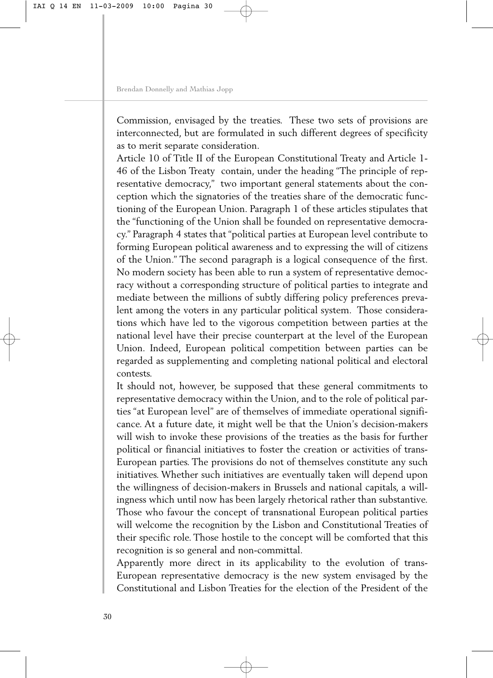Commission, envisaged by the treaties. These two sets of provisions are interconnected, but are formulated in such different degrees of specificity as to merit separate consideration.

Article 10 of Title II of the European Constitutional Treaty and Article 1- 46 of the Lisbon Treaty contain, under the heading "The principle of representative democracy," two important general statements about the conception which the signatories of the treaties share of the democratic functioning of the European Union. Paragraph 1 of these articles stipulates that the "functioning of the Union shall be founded on representative democracy." Paragraph 4 states that "political parties at European level contribute to forming European political awareness and to expressing the will of citizens of the Union." The second paragraph is a logical consequence of the first. No modern society has been able to run a system of representative democracy without a corresponding structure of political parties to integrate and mediate between the millions of subtly differing policy preferences prevalent among the voters in any particular political system. Those considerations which have led to the vigorous competition between parties at the national level have their precise counterpart at the level of the European Union. Indeed, European political competition between parties can be regarded as supplementing and completing national political and electoral contests.

It should not, however, be supposed that these general commitments to representative democracy within the Union, and to the role of political parties "at European level" are of themselves of immediate operational significance. At a future date, it might well be that the Union's decision-makers will wish to invoke these provisions of the treaties as the basis for further political or financial initiatives to foster the creation or activities of trans-European parties. The provisions do not of themselves constitute any such initiatives. Whether such initiatives are eventually taken will depend upon the willingness of decision-makers in Brussels and national capitals, a willingness which until now has been largely rhetorical rather than substantive. Those who favour the concept of transnational European political parties will welcome the recognition by the Lisbon and Constitutional Treaties of their specific role. Those hostile to the concept will be comforted that this recognition is so general and non-committal.

Apparently more direct in its applicability to the evolution of trans-European representative democracy is the new system envisaged by the Constitutional and Lisbon Treaties for the election of the President of the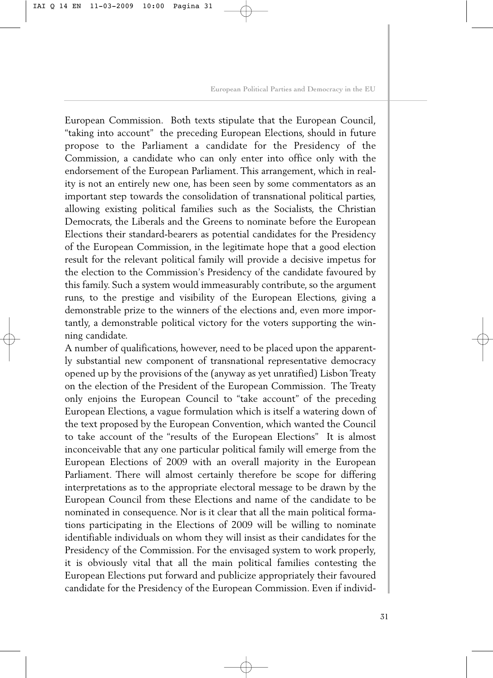European Commission. Both texts stipulate that the European Council, "taking into account" the preceding European Elections, should in future propose to the Parliament a candidate for the Presidency of the Commission, a candidate who can only enter into office only with the endorsement of the European Parliament. This arrangement, which in reality is not an entirely new one, has been seen by some commentators as an important step towards the consolidation of transnational political parties, allowing existing political families such as the Socialists, the Christian Democrats, the Liberals and the Greens to nominate before the European Elections their standard-bearers as potential candidates for the Presidency of the European Commission, in the legitimate hope that a good election result for the relevant political family will provide a decisive impetus for the election to the Commission's Presidency of the candidate favoured by this family. Such a system would immeasurably contribute, so the argument runs, to the prestige and visibility of the European Elections, giving a demonstrable prize to the winners of the elections and, even more importantly, a demonstrable political victory for the voters supporting the winning candidate.

A number of qualifications, however, need to be placed upon the apparently substantial new component of transnational representative democracy opened up by the provisions of the (anyway as yet unratified) Lisbon Treaty on the election of the President of the European Commission. The Treaty only enjoins the European Council to "take account" of the preceding European Elections, a vague formulation which is itself a watering down of the text proposed by the European Convention, which wanted the Council to take account of the "results of the European Elections" It is almost inconceivable that any one particular political family will emerge from the European Elections of 2009 with an overall majority in the European Parliament. There will almost certainly therefore be scope for differing interpretations as to the appropriate electoral message to be drawn by the European Council from these Elections and name of the candidate to be nominated in consequence. Nor is it clear that all the main political formations participating in the Elections of 2009 will be willing to nominate identifiable individuals on whom they will insist as their candidates for the Presidency of the Commission. For the envisaged system to work properly, it is obviously vital that all the main political families contesting the European Elections put forward and publicize appropriately their favoured candidate for the Presidency of the European Commission. Even if individ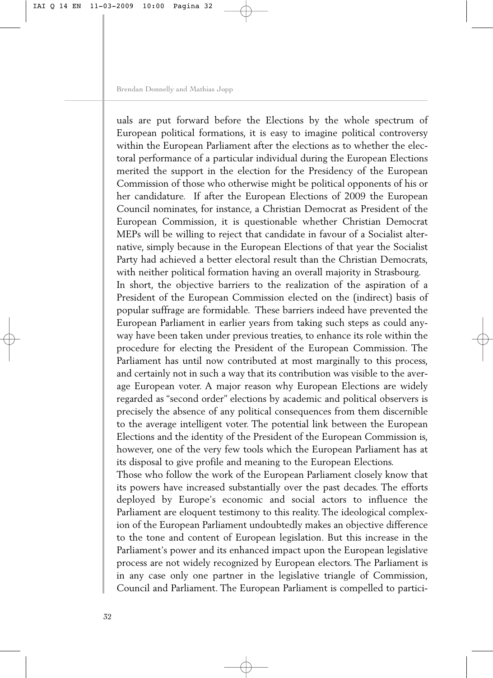uals are put forward before the Elections by the whole spectrum of European political formations, it is easy to imagine political controversy within the European Parliament after the elections as to whether the electoral performance of a particular individual during the European Elections merited the support in the election for the Presidency of the European Commission of those who otherwise might be political opponents of his or her candidature. If after the European Elections of 2009 the European Council nominates, for instance, a Christian Democrat as President of the European Commission, it is questionable whether Christian Democrat MEPs will be willing to reject that candidate in favour of a Socialist alternative, simply because in the European Elections of that year the Socialist Party had achieved a better electoral result than the Christian Democrats, with neither political formation having an overall majority in Strasbourg. In short, the objective barriers to the realization of the aspiration of a President of the European Commission elected on the (indirect) basis of popular suffrage are formidable. These barriers indeed have prevented the European Parliament in earlier years from taking such steps as could anyway have been taken under previous treaties, to enhance its role within the procedure for electing the President of the European Commission. The Parliament has until now contributed at most marginally to this process, and certainly not in such a way that its contribution was visible to the average European voter. A major reason why European Elections are widely regarded as "second order" elections by academic and political observers is precisely the absence of any political consequences from them discernible to the average intelligent voter. The potential link between the European Elections and the identity of the President of the European Commission is, however, one of the very few tools which the European Parliament has at its disposal to give profile and meaning to the European Elections.

Those who follow the work of the European Parliament closely know that its powers have increased substantially over the past decades. The efforts deployed by Europe's economic and social actors to influence the Parliament are eloquent testimony to this reality. The ideological complexion of the European Parliament undoubtedly makes an objective difference to the tone and content of European legislation. But this increase in the Parliament's power and its enhanced impact upon the European legislative process are not widely recognized by European electors. The Parliament is in any case only one partner in the legislative triangle of Commission, Council and Parliament. The European Parliament is compelled to partici-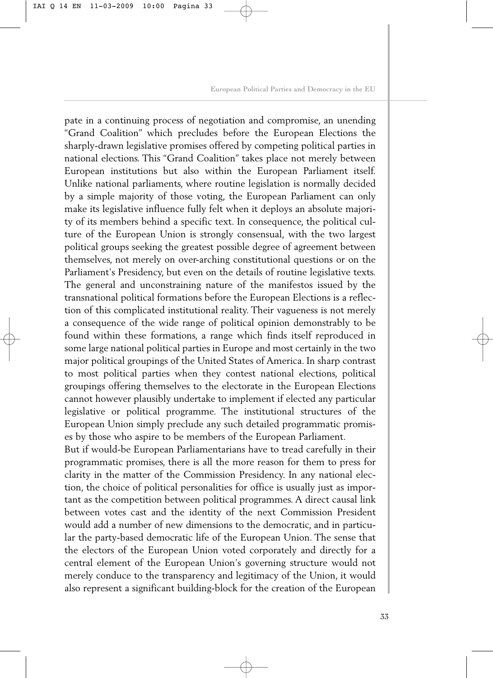pate in a continuing process of negotiation and compromise, an unending "Grand Coalition" which precludes before the European Elections the sharply-drawn legislative promises offered by competing political parties in national elections. This "Grand Coalition" takes place not merely between European institutions but also within the European Parliament itself. Unlike national parliaments, where routine legislation is normally decided by a simple majority of those voting, the European Parliament can only make its legislative influence fully felt when it deploys an absolute majority of its members behind a specific text. In consequence, the political culture of the European Union is strongly consensual, with the two largest political groups seeking the greatest possible degree of agreement between themselves, not merely on over-arching constitutional questions or on the Parliament's Presidency, but even on the details of routine legislative texts. The general and unconstraining nature of the manifestos issued by the transnational political formations before the European Elections is a reflection of this complicated institutional reality. Their vagueness is not merely a consequence of the wide range of political opinion demonstrably to be found within these formations, a range which finds itself reproduced in some large national political parties in Europe and most certainly in the two major political groupings of the United States of America. In sharp contrast to most political parties when they contest national elections, political groupings offering themselves to the electorate in the European Elections cannot however plausibly undertake to implement if elected any particular legislative or political programme. The institutional structures of the European Union simply preclude any such detailed programmatic promises by those who aspire to be members of the European Parliament.

But if would-be European Parliamentarians have to tread carefully in their programmatic promises, there is all the more reason for them to press for clarity in the matter of the Commission Presidency. In any national election, the choice of political personalities for office is usually just as important as the competition between political programmes. A direct causal link between votes cast and the identity of the next Commission President would add a number of new dimensions to the democratic, and in particular the party-based democratic life of the European Union. The sense that the electors of the European Union voted corporately and directly for a central element of the European Union's governing structure would not merely conduce to the transparency and legitimacy of the Union, it would also represent a significant building-block for the creation of the European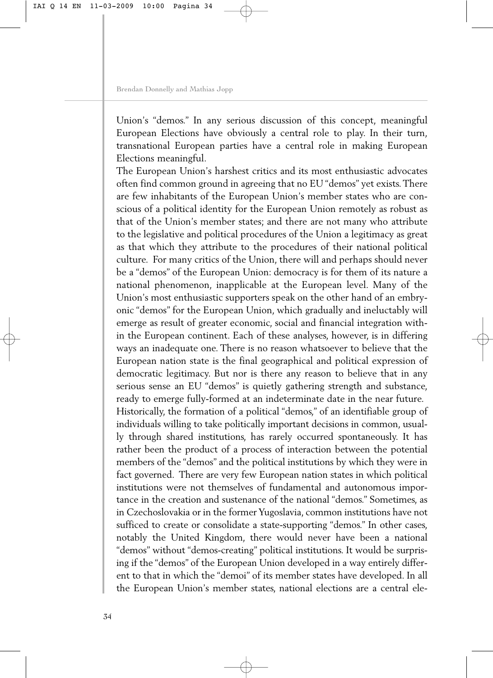Union's "demos." In any serious discussion of this concept, meaningful European Elections have obviously a central role to play. In their turn, transnational European parties have a central role in making European Elections meaningful.

The European Union's harshest critics and its most enthusiastic advocates often find common ground in agreeing that no EU "demos" yet exists. There are few inhabitants of the European Union's member states who are conscious of a political identity for the European Union remotely as robust as that of the Union's member states; and there are not many who attribute to the legislative and political procedures of the Union a legitimacy as great as that which they attribute to the procedures of their national political culture. For many critics of the Union, there will and perhaps should never be a "demos" of the European Union: democracy is for them of its nature a national phenomenon, inapplicable at the European level. Many of the Union's most enthusiastic supporters speak on the other hand of an embryonic "demos" for the European Union, which gradually and ineluctably will emerge as result of greater economic, social and financial integration within the European continent. Each of these analyses, however, is in differing ways an inadequate one. There is no reason whatsoever to believe that the European nation state is the final geographical and political expression of democratic legitimacy. But nor is there any reason to believe that in any serious sense an EU "demos" is quietly gathering strength and substance, ready to emerge fully-formed at an indeterminate date in the near future. Historically, the formation of a political "demos," of an identifiable group of individuals willing to take politically important decisions in common, usually through shared institutions, has rarely occurred spontaneously. It has rather been the product of a process of interaction between the potential members of the "demos" and the political institutions by which they were in fact governed. There are very few European nation states in which political institutions were not themselves of fundamental and autonomous importance in the creation and sustenance of the national "demos." Sometimes, as in Czechoslovakia or in the former Yugoslavia, common institutions have not sufficed to create or consolidate a state-supporting "demos." In other cases, notably the United Kingdom, there would never have been a national "demos" without "demos-creating" political institutions. It would be surprising if the "demos" of the European Union developed in a way entirely different to that in which the "demoi" of its member states have developed. In all the European Union's member states, national elections are a central ele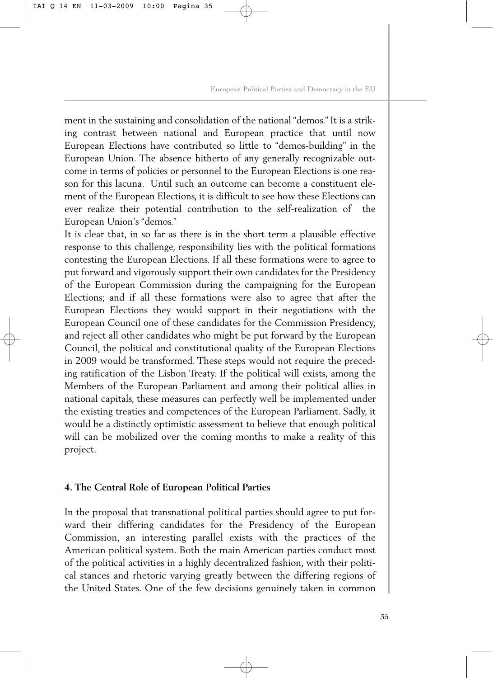ment in the sustaining and consolidation of the national "demos." It is a striking contrast between national and European practice that until now European Elections have contributed so little to "demos-building" in the European Union. The absence hitherto of any generally recognizable outcome in terms of policies or personnel to the European Elections is one reason for this lacuna. Until such an outcome can become a constituent element of the European Elections, it is difficult to see how these Elections can ever realize their potential contribution to the self-realization of the European Union's "demos."

It is clear that, in so far as there is in the short term a plausible effective response to this challenge, responsibility lies with the political formations contesting the European Elections. If all these formations were to agree to put forward and vigorously support their own candidates for the Presidency of the European Commission during the campaigning for the European Elections; and if all these formations were also to agree that after the European Elections they would support in their negotiations with the European Council one of these candidates for the Commission Presidency, and reject all other candidates who might be put forward by the European Council, the political and constitutional quality of the European Elections in 2009 would be transformed. These steps would not require the preceding ratification of the Lisbon Treaty. If the political will exists, among the Members of the European Parliament and among their political allies in national capitals, these measures can perfectly well be implemented under the existing treaties and competences of the European Parliament. Sadly, it would be a distinctly optimistic assessment to believe that enough political will can be mobilized over the coming months to make a reality of this project.

#### **4. The Central Role of European Political Parties**

In the proposal that transnational political parties should agree to put forward their differing candidates for the Presidency of the European Commission, an interesting parallel exists with the practices of the American political system. Both the main American parties conduct most of the political activities in a highly decentralized fashion, with their political stances and rhetoric varying greatly between the differing regions of the United States. One of the few decisions genuinely taken in common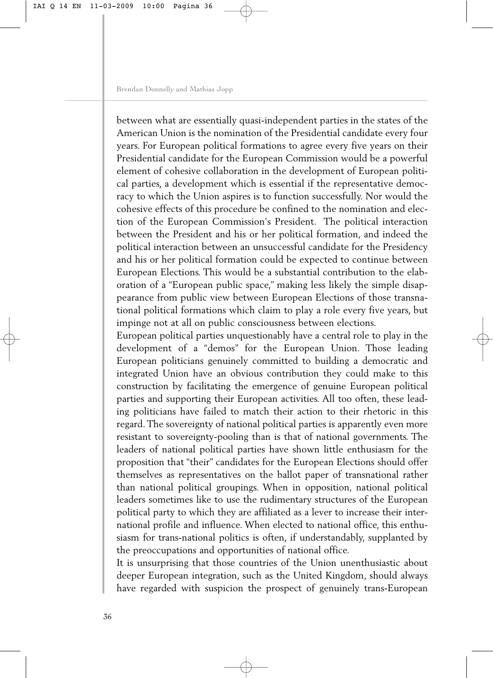between what are essentially quasi-independent parties in the states of the American Union is the nomination of the Presidential candidate every four years. For European political formations to agree every five years on their Presidential candidate for the European Commission would be a powerful element of cohesive collaboration in the development of European political parties, a development which is essential if the representative democracy to which the Union aspires is to function successfully. Nor would the cohesive effects of this procedure be confined to the nomination and election of the European Commission's President. The political interaction between the President and his or her political formation, and indeed the political interaction between an unsuccessful candidate for the Presidency and his or her political formation could be expected to continue between European Elections. This would be a substantial contribution to the elaboration of a "European public space," making less likely the simple disappearance from public view between European Elections of those transnational political formations which claim to play a role every five years, but impinge not at all on public consciousness between elections.

European political parties unquestionably have a central role to play in the development of a "demos" for the European Union. Those leading European politicians genuinely committed to building a democratic and integrated Union have an obvious contribution they could make to this construction by facilitating the emergence of genuine European political parties and supporting their European activities. All too often, these leading politicians have failed to match their action to their rhetoric in this regard. The sovereignty of national political parties is apparently even more resistant to sovereignty-pooling than is that of national governments. The leaders of national political parties have shown little enthusiasm for the proposition that "their" candidates for the European Elections should offer themselves as representatives on the ballot paper of transnational rather than national political groupings. When in opposition, national political leaders sometimes like to use the rudimentary structures of the European political party to which they are affiliated as a lever to increase their international profile and influence. When elected to national office, this enthusiasm for trans-national politics is often, if understandably, supplanted by the preoccupations and opportunities of national office.

It is unsurprising that those countries of the Union unenthusiastic about deeper European integration, such as the United Kingdom, should always have regarded with suspicion the prospect of genuinely trans-European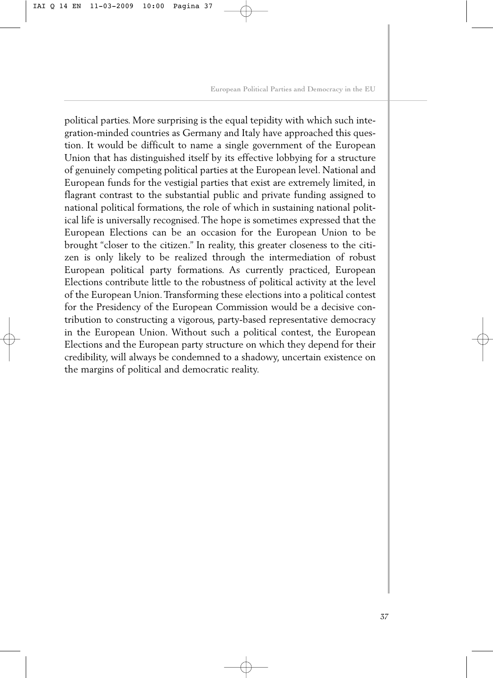political parties. More surprising is the equal tepidity with which such integration-minded countries as Germany and Italy have approached this question. It would be difficult to name a single government of the European Union that has distinguished itself by its effective lobbying for a structure of genuinely competing political parties at the European level. National and European funds for the vestigial parties that exist are extremely limited, in flagrant contrast to the substantial public and private funding assigned to national political formations, the role of which in sustaining national political life is universally recognised. The hope is sometimes expressed that the European Elections can be an occasion for the European Union to be brought "closer to the citizen." In reality, this greater closeness to the citizen is only likely to be realized through the intermediation of robust European political party formations. As currently practiced, European Elections contribute little to the robustness of political activity at the level of the European Union. Transforming these elections into a political contest for the Presidency of the European Commission would be a decisive contribution to constructing a vigorous, party-based representative democracy in the European Union. Without such a political contest, the European Elections and the European party structure on which they depend for their credibility, will always be condemned to a shadowy, uncertain existence on the margins of political and democratic reality.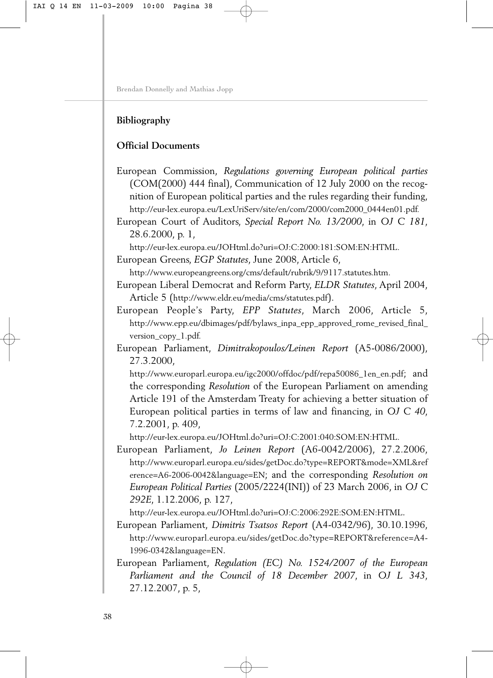## **Bibliography**

## **Official Documents**

European Commission, *Regulations governing European political parties* (COM(2000) 444 final), Communication of 12 July 2000 on the recognition of European political parties and the rules regarding their funding, [http://eur-lex.europa.eu/LexUriServ/site/en/com/2000/com2000\\_0444en01.pdf.](http://eur-lex.europa.eu/LexUriServ/site/en/com/2000/com2000_0444en01.pdf)

European Court of Auditors, *Special Report No. 13/2000*, in *OJ C 181*, 28.6.2000, p. 1,

[http://eur-lex.europa.eu/JOHtml.do?uri=OJ:C:2000:181:SOM:EN:HTML.](http://eur-lex.europa.eu/JOHtml.do?uri=OJ:C:2000:181:SOM:EN:HTML)

European Greens, *EGP Statutes*, June 2008, Article 6,

[http://www.europeangreens.org/cms/default/rubrik/9/9117.statutes.htm.](http://www.europeangreens.org/cms/default/rubrik/9/9117.statutes.htm)

European Liberal Democrat and Reform Party, *ELDR Statutes*, April 2004, Article 5 [\(http://www.eldr.eu/media/cms/statutes.pdf\).](http://www.eldr.eu/media/cms/statutes.pdf)

- European People's Party, *EPP Statutes*, March 2006, Article 5, [http://www.epp.eu/dbimages/pdf/bylaws\\_inpa\\_epp\\_approved\\_rome\\_revised\\_final\\_](http://www.epp.eu/dbimages/pdf/bylaws_inpa_epp_approved_rome_revised_final_) version\_copy\_1.pdf.
- European Parliament, *Dimitrakopoulos/Leinen Report* (A5-0086/2000), 27.3.2000,

[http://www.europarl.europa.eu/igc2000/offdoc/pdf/repa50086\\_1en\\_en.pdf;](http://www.europarl.europa.eu/igc2000/offdoc/pdf/repa50086_1en_en.pdf) and the corresponding *Resolution* of the European Parliament on amending Article 191 of the Amsterdam Treaty for achieving a better situation of European political parties in terms of law and financing, in *OJ C 40*, 7.2.2001, p. 409,

[http://eur-lex.europa.eu/JOHtml.do?uri=OJ:C:2001:040:SOM:EN:HTML.](http://eur-lex.europa.eu/JOHtml.do?uri=OJ:C:2001:040:SOM:EN:HTML)

European Parliament, *Jo Leinen Report* (A6-0042/2006), 27.2.2006, <http://www.europarl.europa.eu/sides/getDoc.do?type=REPORT&mode=XML&ref> erence=A6-2006-0042&language=EN; and the corresponding *Resolution on European Political Parties* (2005/2224(INI)) of 23 March 2006, in *OJ C 292E*, 1.12.2006, p. 127,

[http://eur-lex.europa.eu/JOHtml.do?uri=OJ:C:2006:292E:SOM:EN:HTML.](http://eur-lex.europa.eu/JOHtml.do?uri=OJ:C:2006:292E:SOM:EN:HTML)

European Parliament, *Dimitris Tsatsos Report* (A4-0342/96), 30.10.1996, <http://www.europarl.europa.eu/sides/getDoc.do?type=REPORT&reference=A4-> 1996-0342&language=EN.

European Parliament, *Regulation (EC) No. 1524/2007 of the European Parliament and the Council of 18 December 2007*, in *OJ L 343*, 27.12.2007, p. 5,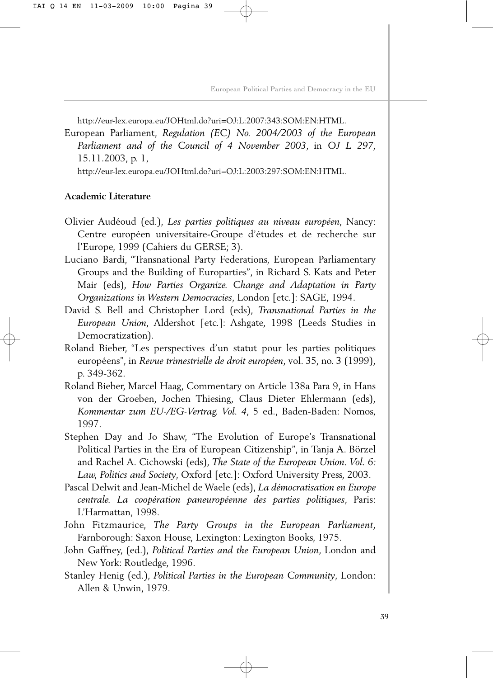[http://eur-lex.europa.eu/JOHtml.do?uri=OJ:L:2007:343:SOM:EN:HTML.](http://eur-lex.europa.eu/JOHtml.do?uri=OJ:L:2007:343:SOM:EN:HTML)

European Parliament, *Regulation (EC) No. 2004/2003 of the European Parliament and of the Council of 4 November 2003*, in *OJ L 297*, 15.11.2003, p. 1,

[http://eur-lex.europa.eu/JOHtml.do?uri=OJ:L:2003:297:SOM:EN:HTML.](http://eur-lex.europa.eu/JOHtml.do?uri=OJ:L:2003:297:SOM:EN:HTML)

#### **Academic Literature**

- Olivier Audéoud (ed.), *Les parties politiques au niveau européen*, Nancy: Centre européen universitaire-Groupe d'études et de recherche sur l'Europe, 1999 (Cahiers du GERSE; 3).
- Luciano Bardi, "Transnational Party Federations, European Parliamentary Groups and the Building of Europarties", in Richard S. Kats and Peter Mair (eds), *How Parties Organize. Change and Adaptation in Party Organizations in Western Democracies*, London [etc.]: SAGE, 1994.
- David S. Bell and Christopher Lord (eds), *Transnational Parties in the European Union*, Aldershot [etc.]: Ashgate, 1998 (Leeds Studies in Democratization).
- Roland Bieber, "Les perspectives d'un statut pour les parties politiques européens", in *Revue trimestrielle de droit européen*, vol. 35, no. 3 (1999), p. 349-362.
- Roland Bieber, Marcel Haag, Commentary on Article 138a Para 9, in Hans von der Groeben, Jochen Thiesing, Claus Dieter Ehlermann (eds), *Kommentar zum EU-/EG-Vertrag. Vol. 4*, 5 ed., Baden-Baden: Nomos, 1997.
- Stephen Day and Jo Shaw, "The Evolution of Europe's Transnational Political Parties in the Era of European Citizenship", in Tanja A. Börzel and Rachel A. Cichowski (eds), *The State of the European Union. Vol. 6: Law, Politics and Society*, Oxford [etc.]: Oxford University Press, 2003.
- Pascal Delwit and Jean-Michel de Waele (eds), *La démocratisation en Europe centrale. La coopération paneuropéenne des parties politiques*, Paris: L'Harmattan, 1998.
- John Fitzmaurice, *The Party Groups in the European Parliament*, Farnborough: Saxon House, Lexington: Lexington Books, 1975.
- John Gaffney, (ed.), *Political Parties and the European Union*, London and New York: Routledge, 1996.
- Stanley Henig (ed.), *Political Parties in the European Community*, London: Allen & Unwin, 1979.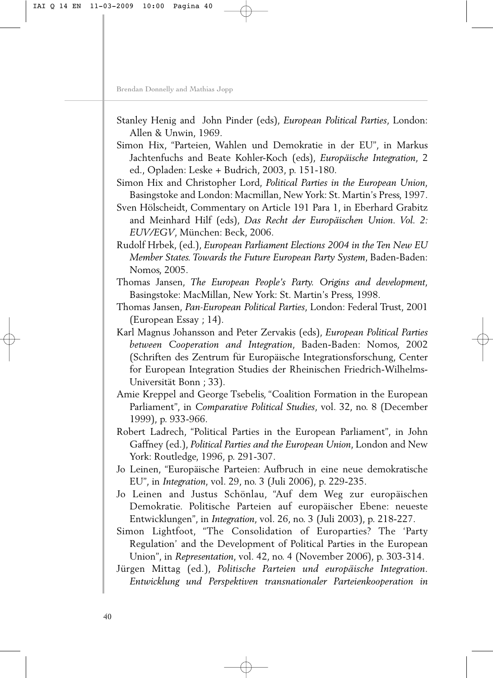- Stanley Henig and John Pinder (eds), *European Political Parties*, London: Allen & Unwin, 1969.
- Simon Hix, "Parteien, Wahlen und Demokratie in der EU", in Markus Jachtenfuchs and Beate Kohler-Koch (eds), *Europäische Integration*, 2 ed., Opladen: Leske + Budrich, 2003, p. 151-180.
- Simon Hix and Christopher Lord, *Political Parties in the European Union*, Basingstoke and London: Macmillan, New York: St. Martin's Press, 1997.
- Sven Hölscheidt, Commentary on Article 191 Para 1, in Eberhard Grabitz and Meinhard Hilf (eds), *Das Recht der Europäischen Union. Vol. 2: EUV/EGV*, München: Beck, 2006.
- Rudolf Hrbek, (ed.), *European Parliament Elections 2004 in the Ten New EU Member States. Towards the Future European Party System*, Baden-Baden: Nomos, 2005.
- Thomas Jansen, *The European People's Party. Origins and development*, Basingstoke: MacMillan, New York: St. Martin's Press, 1998.
- Thomas Jansen, *Pan-European Political Parties*, London: Federal Trust, 2001 (European Essay ; 14).
- Karl Magnus Johansson and Peter Zervakis (eds), *European Political Parties between Cooperation and Integration*, Baden-Baden: Nomos, 2002 (Schriften des Zentrum für Europäische Integrationsforschung, Center for European Integration Studies der Rheinischen Friedrich-Wilhelms-Universität Bonn ; 33).
- Amie Kreppel and George Tsebelis, "Coalition Formation in the European Parliament", in *Comparative Political Studies*, vol. 32, no. 8 (December 1999), p. 933-966.
- Robert Ladrech, "Political Parties in the European Parliament", in John Gaffney (ed.), *Political Parties and the European Union*, London and New York: Routledge, 1996, p. 291-307.
- Jo Leinen, "Europäische Parteien: Aufbruch in eine neue demokratische EU", in *Integration*, vol. 29, no. 3 (Juli 2006), p. 229-235.
- Jo Leinen and Justus Schönlau, "Auf dem Weg zur europäischen Demokratie. Politische Parteien auf europäischer Ebene: neueste Entwicklungen", in *Integration*, vol. 26, no. 3 (Juli 2003), p. 218-227.
- Simon Lightfoot, "The Consolidation of Europarties? The 'Party Regulation' and the Development of Political Parties in the European Union", in *Representation*, vol. 42, no. 4 (November 2006), p. 303-314.
- Jürgen Mittag (ed.), *Politische Parteien und europäische Integration. Entwicklung und Perspektiven transnationaler Parteienkooperation in*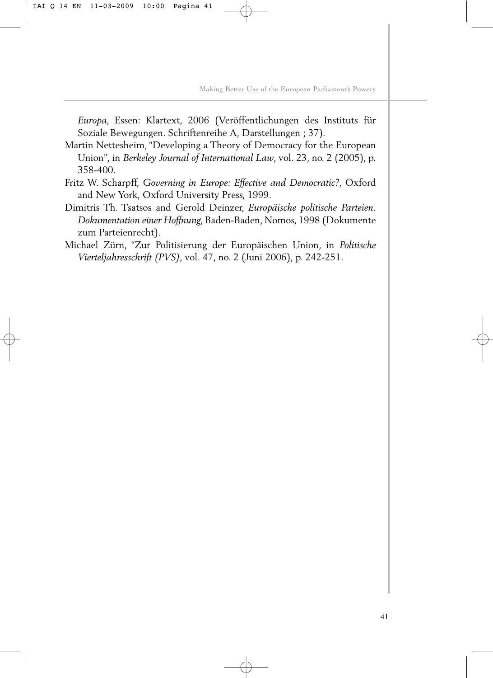*Europa*, Essen: Klartext, 2006 (Veröffentlichungen des Instituts für Soziale Bewegungen. Schriftenreihe A, Darstellungen ; 37).

- Martin Nettesheim, "Developing a Theory of Democracy for the European Union", in *Berkeley Journal of International Law*, vol. 23, no. 2 (2005), p. 358-400.
- Fritz W. Scharpff, *Governing in Europe: Effective and Democratic?*, Oxford and New York, Oxford University Press, 1999.
- Dimitris Th. Tsatsos and Gerold Deinzer, *Europäische politische Parteien. Dokumentation einer Hoffnung*, Baden-Baden, Nomos, 1998 (Dokumente zum Parteienrecht).
- Michael Zürn, "Zur Politisierung der Europäischen Union, in *Politische Vierteljahresschrift (PVS)*, vol. 47, no. 2 (Juni 2006), p. 242-251.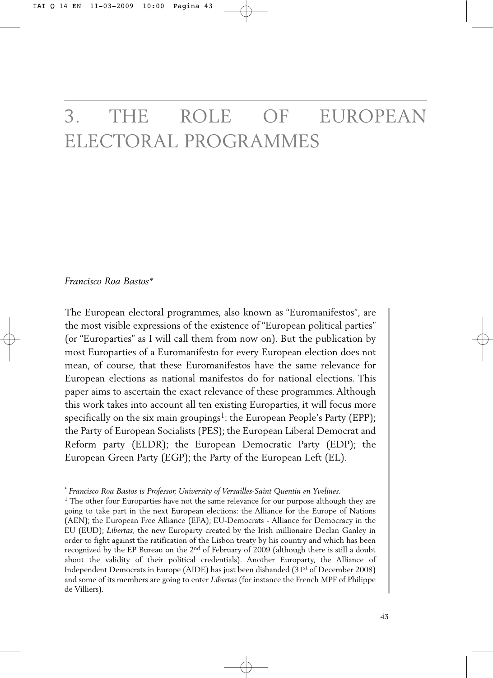# 3. THE ROLE OF EUROPEAN ELECTORAL PROGRAMMES

*Francisco Roa Bastos\**

The European electoral programmes, also known as "Euromanifestos", are the most visible expressions of the existence of "European political parties" (or "Europarties" as I will call them from now on). But the publication by most Europarties of a Euromanifesto for every European election does not mean, of course, that these Euromanifestos have the same relevance for European elections as national manifestos do for national elections. This paper aims to ascertain the exact relevance of these programmes. Although this work takes into account all ten existing Europarties, it will focus more specifically on the six main groupings<sup>1</sup>: the European People's Party (EPP); the Party of European Socialists (PES); the European Liberal Democrat and Reform party (ELDR); the European Democratic Party (EDP); the European Green Party (EGP); the Party of the European Left (EL).

<sup>\*</sup> *Francisco Roa Bastos is Professor, University of Versailles-Saint Quentin en Yvelines.*

<sup>&</sup>lt;sup>1</sup> The other four Europarties have not the same relevance for our purpose although they are going to take part in the next European elections: the Alliance for the Europe of Nations (AEN); the European Free Alliance (EFA); EU-Democrats - Alliance for Democracy in the EU (EUD); *Libertas*, the new Europarty created by the Irish millionaire Declan Ganley in order to fight against the ratification of the Lisbon treaty by his country and which has been recognized by the EP Bureau on the 2nd of February of 2009 (although there is still a doubt about the validity of their political credentials). Another Europarty, the Alliance of Independent Democrats in Europe (AIDE) has just been disbanded  $(31<sup>st</sup>$  of December 2008) and some of its members are going to enter *Libertas* (for instance the French MPF of Philippe de Villiers).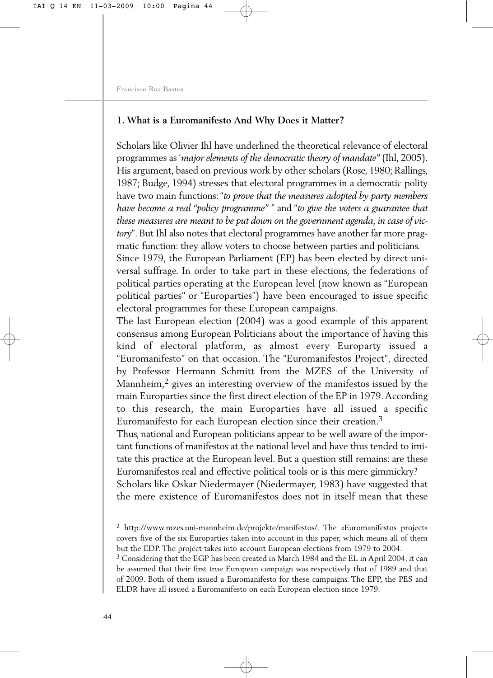## **1. What is a Euromanifesto And Why Does it Matter?**

Scholars like Olivier Ihl have underlined the theoretical relevance of electoral programmes as '*major elements of the democratic theory of mandate"* (Ihl, 2005). His argument, based on previous work by other scholars (Rose, 1980; Rallings, 1987; Budge, 1994) stresses that electoral programmes in a democratic polity have two main functions: "*to prove that the measures adopted by party members have become a real "policy programme"* " and "*to give the voters a guarantee that these measures are meant to be put down on the government agenda, in case of victory*". But Ihl also notes that electoral programmes have another far more pragmatic function: they allow voters to choose between parties and politicians.

Since 1979, the European Parliament (EP) has been elected by direct universal suffrage. In order to take part in these elections, the federations of political parties operating at the European level (now known as "European political parties" or "Europarties") have been encouraged to issue specific electoral programmes for these European campaigns.

The last European election (2004) was a good example of this apparent consensus among European Politicians about the importance of having this kind of electoral platform, as almost every Europarty issued a "Euromanifesto" on that occasion. The "Euromanifestos Project", directed by Professor Hermann Schmitt from the MZES of the University of Mannheim,2 gives an interesting overview of the manifestos issued by the main Europarties since the first direct election of the EP in 1979.According to this research, the main Europarties have all issued a specific Euromanifesto for each European election since their creation.3

Thus, national and European politicians appear to be well aware of the important functions of manifestos at the national level and have thus tended to imitate this practice at the European level. But a question still remains: are these Euromanifestos real and effective political tools or is this mere gimmickry?

Scholars like Oskar Niedermayer (Niedermayer, 1983) have suggested that the mere existence of Euromanifestos does not in itself mean that these

<sup>2</sup> [http://www.mzes.uni-mannheim.de/projekte/manifestos/.](http://www.mzes.uni-mannheim.de/projekte/manifestos/) The «Euromanifestos project» covers five of the six Europarties taken into account in this paper, which means all of them but the EDP. The project takes into account European elections from 1979 to 2004.

 $3$  Considering that the EGP has been created in March 1984 and the EL in April 2004, it can be assumed that their first true European campaign was respectively that of 1989 and that of 2009. Both of them issued a Euromanifesto for these campaigns. The EPP, the PES and ELDR have all issued a Euromanifesto on each European election since 1979.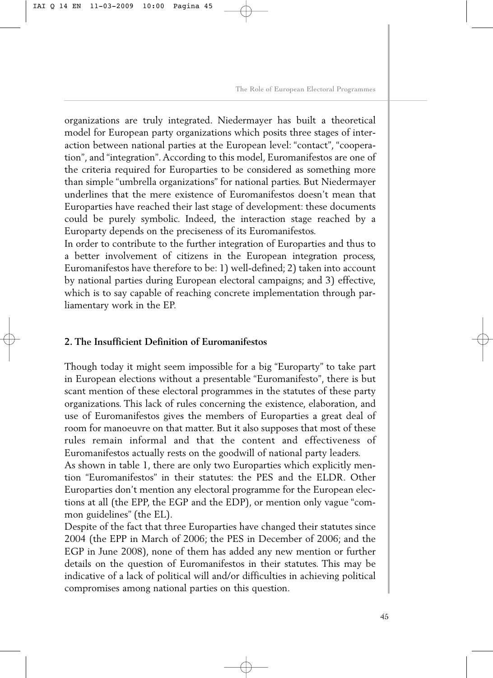organizations are truly integrated. Niedermayer has built a theoretical model for European party organizations which posits three stages of interaction between national parties at the European level: "contact", "cooperation", and "integration". According to this model, Euromanifestos are one of the criteria required for Europarties to be considered as something more than simple "umbrella organizations" for national parties. But Niedermayer underlines that the mere existence of Euromanifestos doesn't mean that Europarties have reached their last stage of development: these documents could be purely symbolic. Indeed, the interaction stage reached by a Europarty depends on the preciseness of its Euromanifestos.

In order to contribute to the further integration of Europarties and thus to a better involvement of citizens in the European integration process, Euromanifestos have therefore to be: 1) well-defined; 2) taken into account by national parties during European electoral campaigns; and 3) effective, which is to say capable of reaching concrete implementation through parliamentary work in the EP.

## **2. The Insufficient Definition of Euromanifestos**

Though today it might seem impossible for a big "Europarty" to take part in European elections without a presentable "Euromanifesto", there is but scant mention of these electoral programmes in the statutes of these party organizations. This lack of rules concerning the existence, elaboration, and use of Euromanifestos gives the members of Europarties a great deal of room for manoeuvre on that matter. But it also supposes that most of these rules remain informal and that the content and effectiveness of Euromanifestos actually rests on the goodwill of national party leaders.

As shown in table 1, there are only two Europarties which explicitly mention "Euromanifestos" in their statutes: the PES and the ELDR. Other Europarties don't mention any electoral programme for the European elections at all (the EPP, the EGP and the EDP), or mention only vague "common guidelines" (the EL).

Despite of the fact that three Europarties have changed their statutes since 2004 (the EPP in March of 2006; the PES in December of 2006; and the EGP in June 2008), none of them has added any new mention or further details on the question of Euromanifestos in their statutes. This may be indicative of a lack of political will and/or difficulties in achieving political compromises among national parties on this question.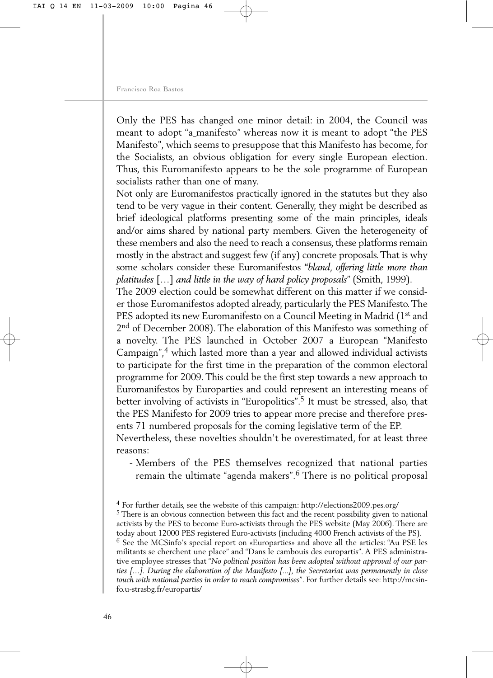Only the PES has changed one minor detail: in 2004, the Council was meant to adopt "a manifesto" whereas now it is meant to adopt "the PES Manifesto", which seems to presuppose that this Manifesto has become, for the Socialists, an obvious obligation for every single European election. Thus, this Euromanifesto appears to be the sole programme of European socialists rather than one of many.

Not only are Euromanifestos practically ignored in the statutes but they also tend to be very vague in their content. Generally, they might be described as brief ideological platforms presenting some of the main principles, ideals and/or aims shared by national party members. Given the heterogeneity of these members and also the need to reach a consensus, these platforms remain mostly in the abstract and suggest few (if any) concrete proposals.That is why some scholars consider these Euromanifestos **"***bland, offering little more than platitudes* […] *and little in the way of hard policy proposals*" (Smith, 1999).

The 2009 election could be somewhat different on this matter if we consider those Euromanifestos adopted already, particularly the PES Manifesto.The PES adopted its new Euromanifesto on a Council Meeting in Madrid (1st and 2<sup>nd</sup> of December 2008). The elaboration of this Manifesto was something of a novelty. The PES launched in October 2007 a European "Manifesto Campaign",4 which lasted more than a year and allowed individual activists to participate for the first time in the preparation of the common electoral programme for 2009. This could be the first step towards a new approach to Euromanifestos by Europarties and could represent an interesting means of better involving of activists in "Europolitics".<sup>5</sup> It must be stressed, also, that the PES Manifesto for 2009 tries to appear more precise and therefore presents 71 numbered proposals for the coming legislative term of the EP.

Nevertheless, these novelties shouldn't be overestimated, for at least three reasons:

- Members of the PES themselves recognized that national parties remain the ultimate "agenda makers".<sup>6</sup> There is no political proposal

<sup>4</sup> For further details, see the website of this campaign:<http://elections2009.pes.org/>

<sup>&</sup>lt;sup>5</sup> There is an obvious connection between this fact and the recent possibility given to national activists by the PES to become Euro-activists through the PES website (May 2006). There are today about 12000 PES registered Euro-activists (including 4000 French activists of the PS). <sup>6</sup> See the MCSinfo's special report on «Europarties» and above all the articles: "Au PSE les militants se cherchent une place" and "Dans le cambouis des europartis". A PES administrative employee stresses that "*No political position has been adopted without approval of our parties […]. During the elaboration of the Manifesto [...], the Secretariat was permanently in close [touch with national parties in order to reach compromises](http://mcsin-fo.u-strasbg.fr/europartis/)*". For further details see: http://mcsinfo.u-strasbg.fr/europartis/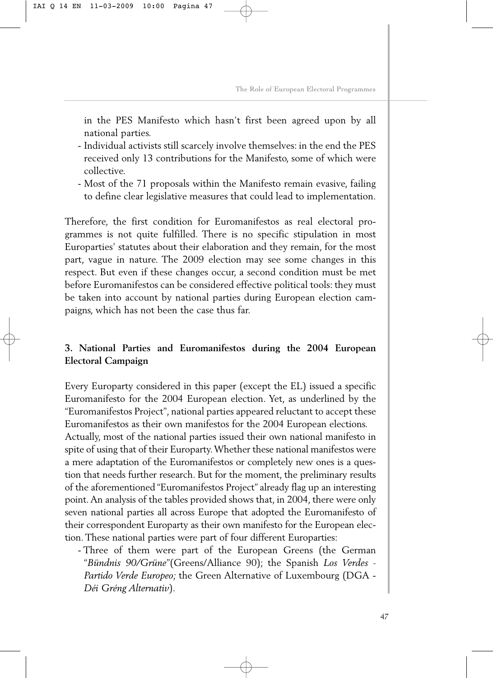in the PES Manifesto which hasn't first been agreed upon by all national parties.

- Individual activists still scarcely involve themselves: in the end the PES received only 13 contributions for the Manifesto, some of which were collective.
- Most of the 71 proposals within the Manifesto remain evasive, failing to define clear legislative measures that could lead to implementation.

Therefore, the first condition for Euromanifestos as real electoral programmes is not quite fulfilled. There is no specific stipulation in most Europarties' statutes about their elaboration and they remain, for the most part, vague in nature. The 2009 election may see some changes in this respect. But even if these changes occur, a second condition must be met before Euromanifestos can be considered effective political tools: they must be taken into account by national parties during European election campaigns, which has not been the case thus far.

# **3. National Parties and Euromanifestos during the 2004 European Electoral Campaign**

Every Europarty considered in this paper (except the EL) issued a specific Euromanifesto for the 2004 European election. Yet, as underlined by the "Euromanifestos Project", national parties appeared reluctant to accept these Euromanifestos as their own manifestos for the 2004 European elections. Actually, most of the national parties issued their own national manifesto in spite of using that of their Europarty.Whether these national manifestos were a mere adaptation of the Euromanifestos or completely new ones is a question that needs further research. But for the moment, the preliminary results of the aforementioned "Euromanifestos Project" already flag up an interesting point.An analysis of the tables provided shows that, in 2004, there were only seven national parties all across Europe that adopted the Euromanifesto of their correspondent Europarty as their own manifesto for the European election. These national parties were part of four different Europarties:

- Three of them were part of the European Greens (the German "*Bündnis 90/Grüne*"(Greens/Alliance 90); the Spanish *Los Verdes - Partido Verde Europeo;* the Green Alternative of Luxembourg (DGA - *Déi Gréng Alternativ*).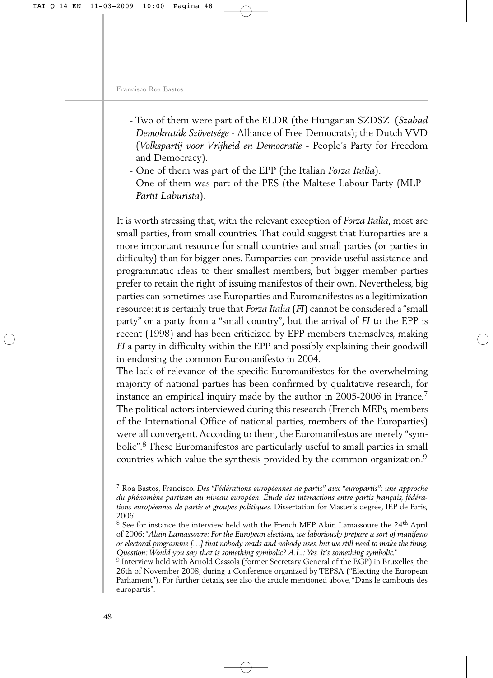- Two of them were part of the ELDR (the Hungarian SZDSZ (*Szabad Demokraták Szövetsége -* Alliance of Free Democrats); the Dutch VVD (*Volkspartij voor Vrijheid en Democratie* - People's Party for Freedom and Democracy).
- One of them was part of the EPP (the Italian *Forza Italia*).
- One of them was part of the PES (the Maltese Labour Party (MLP *Partit Laburista*).

It is worth stressing that, with the relevant exception of *Forza Italia*, most are small parties, from small countries. That could suggest that Europarties are a more important resource for small countries and small parties (or parties in difficulty) than for bigger ones. Europarties can provide useful assistance and programmatic ideas to their smallest members, but bigger member parties prefer to retain the right of issuing manifestos of their own. Nevertheless, big parties can sometimes use Europarties and Euromanifestos as a legitimization resource: it is certainly true that *Forza Italia* (*FI*) cannot be considered a "small party" or a party from a "small country", but the arrival of *FI* to the EPP is recent (1998) and has been criticized by EPP members themselves, making *FI* a party in difficulty within the EPP and possibly explaining their goodwill in endorsing the common Euromanifesto in 2004.

The lack of relevance of the specific Euromanifestos for the overwhelming majority of national parties has been confirmed by qualitative research, for instance an empirical inquiry made by the author in 2005-2006 in France.7 The political actors interviewed during this research (French MEPs, members of the International Office of national parties, members of the Europarties) were all convergent.According to them, the Euromanifestos are merely "symbolic".8 These Euromanifestos are particularly useful to small parties in small countries which value the synthesis provided by the common organization.<sup>9</sup>

<sup>7</sup> Roa Bastos, Francisco. *Des "Fédérations européennes de partis" aux "europartis": une approche du phénomène partisan au niveau européen. Etude des interactions entre partis français, fédérations européennes de partis et groupes politiques*. Dissertation for Master's degree, IEP de Paris, 2006.

<sup>&</sup>lt;sup>8</sup> See for instance the interview held with the French MEP Alain Lamassoure the 24<sup>th</sup> April of 2006: "*Alain Lamassoure: For the European elections, we laboriously prepare a sort of manifesto or electoral programme […] that nobody reads and nobody uses, but we still need to make the thing. Question: Would you say that is something symbolic? A.L.: Yes. It's something symbolic.*"

<sup>9</sup> Interview held with Arnold Cassola (former Secretary General of the EGP) in Bruxelles, the 26th of November 2008, during a Conference organized by TEPSA ("Electing the European Parliament"). For further details, see also the article mentioned above, "Dans le cambouis des europartis".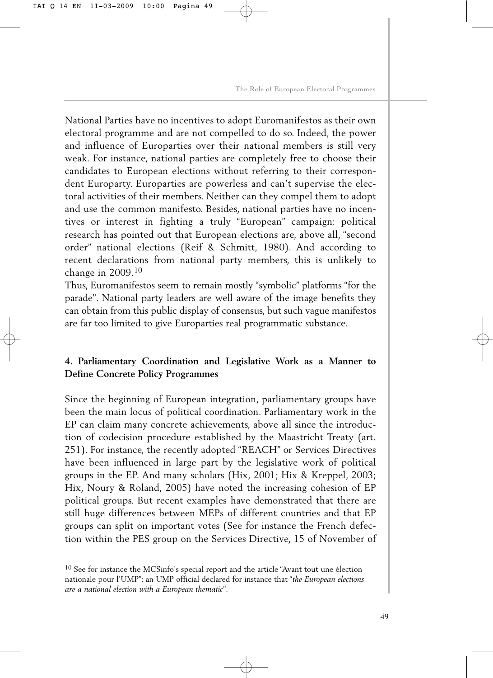National Parties have no incentives to adopt Euromanifestos as their own electoral programme and are not compelled to do so. Indeed, the power and influence of Europarties over their national members is still very weak. For instance, national parties are completely free to choose their candidates to European elections without referring to their correspondent Europarty. Europarties are powerless and can't supervise the electoral activities of their members. Neither can they compel them to adopt and use the common manifesto. Besides, national parties have no incentives or interest in fighting a truly "European" campaign: political research has pointed out that European elections are, above all, "second order" national elections (Reif & Schmitt, 1980). And according to recent declarations from national party members, this is unlikely to change in 2009.<sup>10</sup>

Thus, Euromanifestos seem to remain mostly "symbolic" platforms "for the parade". National party leaders are well aware of the image benefits they can obtain from this public display of consensus, but such vague manifestos are far too limited to give Europarties real programmatic substance.

# **4. Parliamentary Coordination and Legislative Work as a Manner to Define Concrete Policy Programmes**

Since the beginning of European integration, parliamentary groups have been the main locus of political coordination. Parliamentary work in the EP can claim many concrete achievements, above all since the introduction of codecision procedure established by the Maastricht Treaty (art. 251). For instance, the recently adopted "REACH" or Services Directives have been influenced in large part by the legislative work of political groups in the EP. And many scholars (Hix, 2001; Hix & Kreppel, 2003; Hix, Noury & Roland, 2005) have noted the increasing cohesion of EP political groups. But recent examples have demonstrated that there are still huge differences between MEPs of different countries and that EP groups can split on important votes (See for instance the French defection within the PES group on the Services Directive, 15 of November of

<sup>&</sup>lt;sup>10</sup> See for instance the MCSinfo's special report and the article "Avant tout une élection nationale pour l'UMP": an UMP official declared for instance that "*the European elections are a national election with a European thematic*".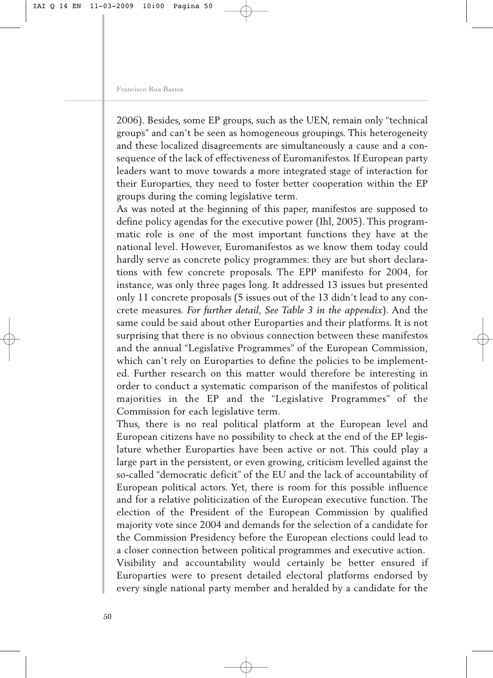2006). Besides, some EP groups, such as the UEN, remain only "technical groups" and can't be seen as homogeneous groupings. This heterogeneity and these localized disagreements are simultaneously a cause and a consequence of the lack of effectiveness of Euromanifestos. If European party leaders want to move towards a more integrated stage of interaction for their Europarties, they need to foster better cooperation within the EP groups during the coming legislative term.

As was noted at the beginning of this paper, manifestos are supposed to define policy agendas for the executive power (Ihl, 2005). This programmatic role is one of the most important functions they have at the national level. However, Euromanifestos as we know them today could hardly serve as concrete policy programmes: they are but short declarations with few concrete proposals. The EPP manifesto for 2004, for instance, was only three pages long. It addressed 13 issues but presented only 11 concrete proposals (5 issues out of the 13 didn't lead to any concrete measures. *For further detail, See Table 3 in the appendix*). And the same could be said about other Europarties and their platforms. It is not surprising that there is no obvious connection between these manifestos and the annual "Legislative Programmes" of the European Commission, which can't rely on Europarties to define the policies to be implemented. Further research on this matter would therefore be interesting in order to conduct a systematic comparison of the manifestos of political majorities in the EP and the "Legislative Programmes" of the Commission for each legislative term.

Thus, there is no real political platform at the European level and European citizens have no possibility to check at the end of the EP legislature whether Europarties have been active or not. This could play a large part in the persistent, or even growing, criticism levelled against the so-called "democratic deficit" of the EU and the lack of accountability of European political actors. Yet, there is room for this possible influence and for a relative politicization of the European executive function. The election of the President of the European Commission by qualified majority vote since 2004 and demands for the selection of a candidate for the Commission Presidency before the European elections could lead to a closer connection between political programmes and executive action. Visibility and accountability would certainly be better ensured if Europarties were to present detailed electoral platforms endorsed by every single national party member and heralded by a candidate for the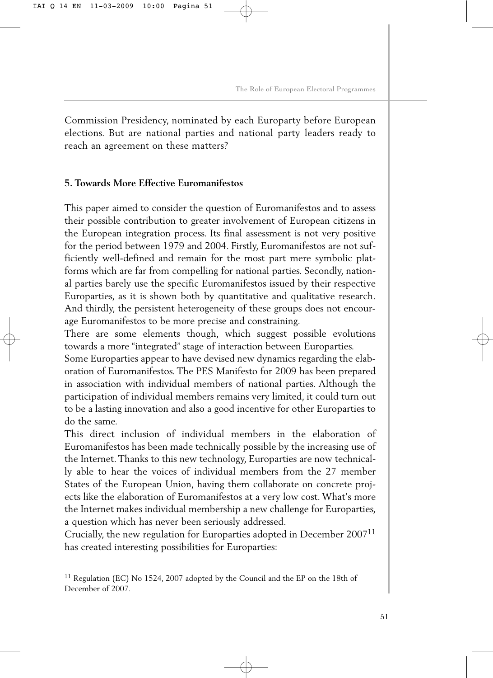Commission Presidency, nominated by each Europarty before European elections. But are national parties and national party leaders ready to reach an agreement on these matters?

## **5. Towards More Effective Euromanifestos**

This paper aimed to consider the question of Euromanifestos and to assess their possible contribution to greater involvement of European citizens in the European integration process. Its final assessment is not very positive for the period between 1979 and 2004. Firstly, Euromanifestos are not sufficiently well-defined and remain for the most part mere symbolic platforms which are far from compelling for national parties. Secondly, national parties barely use the specific Euromanifestos issued by their respective Europarties, as it is shown both by quantitative and qualitative research. And thirdly, the persistent heterogeneity of these groups does not encourage Euromanifestos to be more precise and constraining.

There are some elements though, which suggest possible evolutions towards a more "integrated" stage of interaction between Europarties.

Some Europarties appear to have devised new dynamics regarding the elaboration of Euromanifestos. The PES Manifesto for 2009 has been prepared in association with individual members of national parties. Although the participation of individual members remains very limited, it could turn out to be a lasting innovation and also a good incentive for other Europarties to do the same.

This direct inclusion of individual members in the elaboration of Euromanifestos has been made technically possible by the increasing use of the Internet. Thanks to this new technology, Europarties are now technically able to hear the voices of individual members from the 27 member States of the European Union, having them collaborate on concrete projects like the elaboration of Euromanifestos at a very low cost. What's more the Internet makes individual membership a new challenge for Europarties, a question which has never been seriously addressed.

Crucially, the new regulation for Europarties adopted in December 200711 has created interesting possibilities for Europarties:

<sup>&</sup>lt;sup>11</sup> Regulation (EC) No 1524, 2007 adopted by the Council and the EP on the 18th of December of 2007.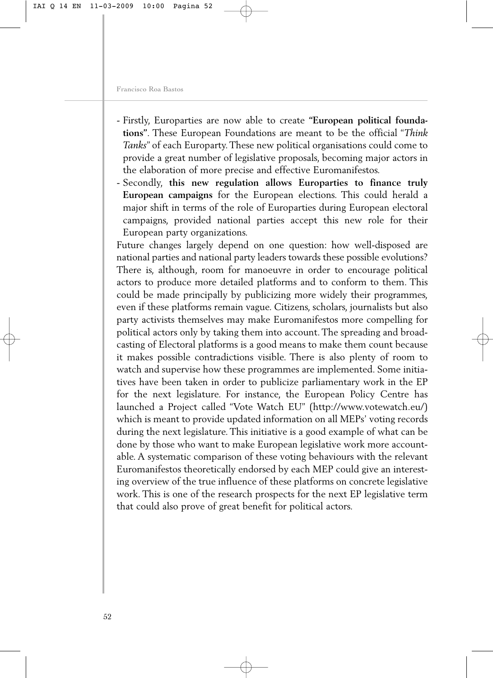- Firstly, Europarties are now able to create **"European political foundations"**. These European Foundations are meant to be the official "*Think Tanks*" of each Europarty. These new political organisations could come to provide a great number of legislative proposals, becoming major actors in the elaboration of more precise and effective Euromanifestos.
- Secondly, **this new regulation allows Europarties to finance truly European campaigns** for the European elections. This could herald a major shift in terms of the role of Europarties during European electoral campaigns, provided national parties accept this new role for their European party organizations.

Future changes largely depend on one question: how well-disposed are national parties and national party leaders towards these possible evolutions? There is, although, room for manoeuvre in order to encourage political actors to produce more detailed platforms and to conform to them. This could be made principally by publicizing more widely their programmes, even if these platforms remain vague. Citizens, scholars, journalists but also party activists themselves may make Euromanifestos more compelling for political actors only by taking them into account. The spreading and broadcasting of Electoral platforms is a good means to make them count because it makes possible contradictions visible. There is also plenty of room to watch and supervise how these programmes are implemented. Some initiatives have been taken in order to publicize parliamentary work in the EP for the next legislature. For instance, the European Policy Centre has launched a Project called "Vote Watch EU" [\(http://www.votewatch.eu/\)](http://www.votewatch.eu/) which is meant to provide updated information on all MEPs' voting records during the next legislature. This initiative is a good example of what can be done by those who want to make European legislative work more accountable. A systematic comparison of these voting behaviours with the relevant Euromanifestos theoretically endorsed by each MEP could give an interesting overview of the true influence of these platforms on concrete legislative work. This is one of the research prospects for the next EP legislative term that could also prove of great benefit for political actors.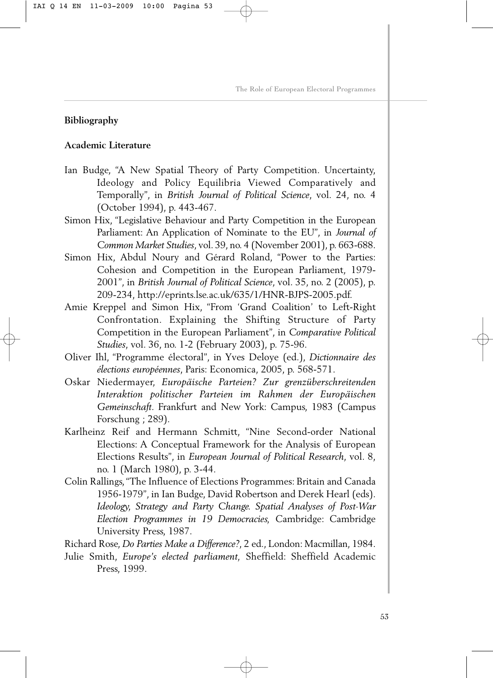## **Bibliography**

## **Academic Literature**

- Ian Budge, "A New Spatial Theory of Party Competition. Uncertainty, Ideology and Policy Equilibria Viewed Comparatively and Temporally", in *British Journal of Political Science*, vol. 24, no. 4 (October 1994), p. 443-467.
- Simon Hix, "Legislative Behaviour and Party Competition in the European Parliament: An Application of Nominate to the EU", in *Journal of Common Market Studies*, vol. 39, no. 4 (November 2001), p. 663-688.
- Simon Hix, Abdul Noury and Gérard Roland, "Power to the Parties: Cohesion and Competition in the European Parliament, 1979- 2001", in *British Journal of Political Science*, vol. 35, no. 2 (2005), p. 209-234, [http://eprints.lse.ac.uk/635/1/HNR-BJPS-2005.pdf.](http://eprints.lse.ac.uk/635/1/HNR-BJPS-2005.pdf)
- Amie Kreppel and Simon Hix, "From 'Grand Coalition' to Left-Right Confrontation. Explaining the Shifting Structure of Party Competition in the European Parliament", in *Comparative Political Studies*, vol. 36, no. 1-2 (February 2003), p. 75-96.
- Oliver Ihl, "Programme électoral", in Yves Deloye (ed.), *Dictionnaire des élections européennes*, Paris: Economica, 2005, p. 568-571.
- Oskar Niedermayer, *Europäische Parteien? Zur grenzüberschreitenden Interaktion politischer Parteien im Rahmen der Europäischen Gemeinschaft*. Frankfurt and New York: Campus, 1983 (Campus Forschung ; 289).
- Karlheinz Reif and Hermann Schmitt, "Nine Second-order National Elections: A Conceptual Framework for the Analysis of European Elections Results", in *European Journal of Political Research*, vol. 8, no. 1 (March 1980), p. 3-44.
- Colin Rallings,"The Influence of Elections Programmes: Britain and Canada 1956-1979", in Ian Budge, David Robertson and Derek Hearl (eds). *Ideology, Strategy and Party Change. Spatial Analyses of Post-War Election Programmes in 19 Democracies,* Cambridge: Cambridge University Press, 1987.

Richard Rose, *Do Parties Make a Difference?*, 2 ed., London: Macmillan, 1984.

Julie Smith, *Europe's elected parliament,* Sheffield: Sheffield Academic Press, 1999.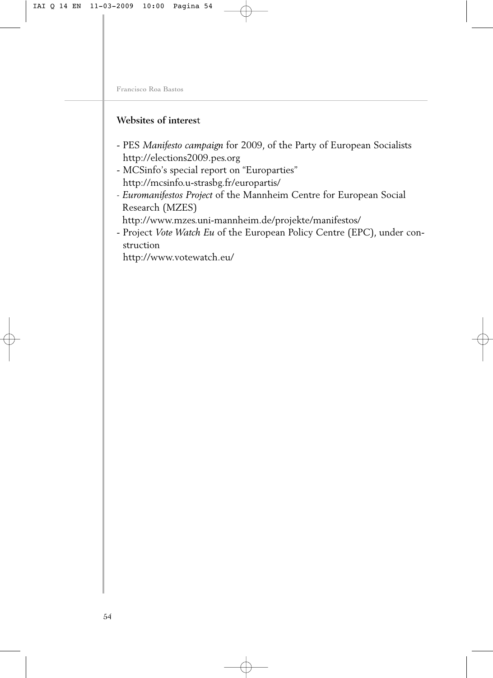# **Websites of interes**t

- PES *Manifesto campaign* for 2009, of the Party of European Socialists <http://elections2009.pes.org>
- MCSinfo's special report on "Europarties" <http://mcsinfo.u-strasbg.fr/europartis/>
- *Euromanifestos Project* of the Mannheim Centre for European Social Research (MZES)
- <http://www.mzes.uni-mannheim.de/projekte/manifestos/>
- Project *Vote Watch Eu* of the European Policy Centre (EPC), under construction

<http://www.votewatch.eu/>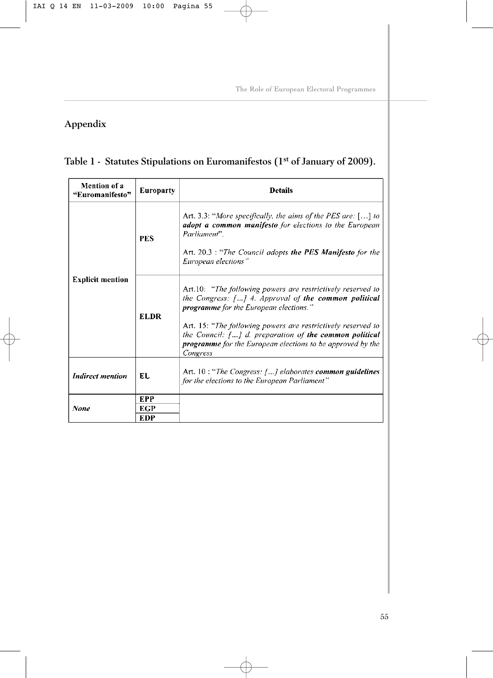# **Appendix**

# **Table 1 - Statutes Stipulations on Euromanifestos (1st of January of 2009).**

| Mention of a<br>"Euromanifesto" | <b>Europarty</b>                       | <b>Details</b>                                                                                                                                                                                                                                                                                                                                                                               |
|---------------------------------|----------------------------------------|----------------------------------------------------------------------------------------------------------------------------------------------------------------------------------------------------------------------------------------------------------------------------------------------------------------------------------------------------------------------------------------------|
| <b>Explicit mention</b>         | <b>PES</b>                             | Art. 3.3: "More specifically, the aims of the PES are: $\lceil  \rceil$ to<br><b>adopt a common manifesto</b> for elections to the European<br>Parliament".<br>Art. 20.3 : "The Council adopts the PES Manifesto for the<br>European elections"                                                                                                                                              |
|                                 | EL DR                                  | Art.10: "The following powers are restrictively reserved to<br>the Congress: [] 4. Approval of the common political<br>programme for the European elections."<br>Art. 15: "The following powers are restrictively reserved to<br>the Council: $\lceil \ldots \rceil$ d. preparation of the common political<br><b>programme</b> for the European elections to be approved by the<br>Congress |
| <b>Indirect mention</b>         | EL                                     | Art. 10: "The Congress: [] elaborates common guidelines<br>for the elections to the European Parliament"                                                                                                                                                                                                                                                                                     |
| None                            | <b>EPP</b><br><b>EGP</b><br><b>EDP</b> |                                                                                                                                                                                                                                                                                                                                                                                              |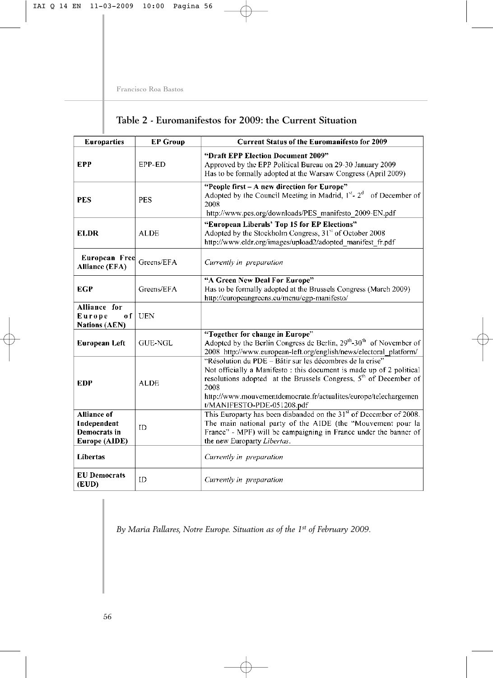| Table 2 - Euromanifestos for 2009: the Current Situation |  |  |
|----------------------------------------------------------|--|--|
|----------------------------------------------------------|--|--|

| <b>Europarties</b>                                                 | <b>EP Group</b> | <b>Current Status of the Euromanifesto for 2009</b>                                                                                                                                                                                                                                                                        |
|--------------------------------------------------------------------|-----------------|----------------------------------------------------------------------------------------------------------------------------------------------------------------------------------------------------------------------------------------------------------------------------------------------------------------------------|
| EPP                                                                | EPP-ED          | "Draft EPP Election Document 2009"<br>Approved by the EPP Political Bureau on 29-30 January 2009<br>Has to be formally adopted at the Warsaw Congress (April 2009)                                                                                                                                                         |
| <b>PES</b>                                                         | <b>PES</b>      | "People first - A new direction for Europe"<br>Adopted by the Council Meeting in Madrid, $1^{st}$ - $2^{d}$<br>of December of<br>2008<br>http://www.pes.org/downloads/PES manifesto 2009-EN.pdf                                                                                                                            |
| <b>ELDR</b>                                                        | <b>ALDE</b>     | "European Liberals' Top 15 for EP Elections"<br>Adopted by the Stockholm Congress, 31 <sup>st</sup> of October 2008<br>http://www.eldr.org/images/upload2/adopted manifest fr.pdf                                                                                                                                          |
| <b>European Free</b><br><b>Alliance (EFA)</b>                      | Greens/EFA      | Currently in preparation                                                                                                                                                                                                                                                                                                   |
| <b>EGP</b>                                                         | Greens/EFA      | "A Green New Deal For Europe"<br>Has to be formally adopted at the Brussels Congress (March 2009)<br>http://europeangreens.eu/menu/egp-manifesto/                                                                                                                                                                          |
| Alliance for<br>Europe<br>o f<br><b>Nations (AEN)</b>              | <b>UEN</b>      |                                                                                                                                                                                                                                                                                                                            |
| European Left                                                      | <b>GUE-NGL</b>  | "Together for change in Europe"<br>Adopted by the Berlin Congress de Berlin, 29 <sup>th</sup> -30 <sup>th</sup> of November of<br>2008 http://www.european-left.org/english/news/electoral platform/                                                                                                                       |
| <b>EDP</b>                                                         | <b>ALDE</b>     | "Résolution du PDE – Bâtir sur les décombres de la crise"<br>Not officially a Manifesto: this document is made up of 2 political<br>resolutions adopted at the Brussels Congress, 5 <sup>th</sup> of December of<br>2008<br>http://www.mouvementdemocrate.fr/actualites/europe/telechargemen<br>t/MANIFESTO-PDE-051208.pdf |
| <b>Alliance of</b><br>Independent<br>Democrats in<br>Europe (AIDE) | ID              | This Europarty has been disbanded on the 31 <sup>st</sup> of December of 2008.<br>The main national party of the AIDE (the "Mouvement pour la<br>France" - MPF) will be campaigning in France under the banner of<br>the new Europarty Libertas.                                                                           |
| Libertas                                                           |                 | Currently in preparation                                                                                                                                                                                                                                                                                                   |
| <b>EU Democrats</b><br>(EUD)                                       | ID              | Currently in preparation                                                                                                                                                                                                                                                                                                   |

*By Maria Pallares, Notre Europe. Situation as of the 1st of February 2009.*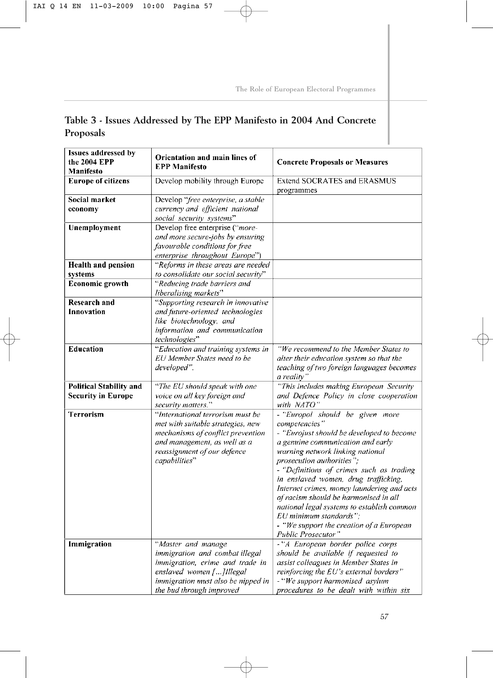# **Table 3 - Issues Addressed by The EPP Manifesto in 2004 And Concrete Proposals**

| <b>Issues addressed by</b><br>the 2004 EPP | Orientation and main lines of<br><b>EPP Manifesto</b>       | <b>Concrete Proposals or Measures</b>                                               |  |
|--------------------------------------------|-------------------------------------------------------------|-------------------------------------------------------------------------------------|--|
| Manifesto                                  |                                                             |                                                                                     |  |
| <b>Europe of citizens</b>                  | Develop mobility through Europe                             | Extend SOCRATES and ERASMUS<br>programmes                                           |  |
| Social market                              | Develop "free enterprise, a stable                          |                                                                                     |  |
| economy                                    | currency and efficient national<br>social security systems" |                                                                                     |  |
| <b>Unemployment</b>                        | Develop free enterprise ("more-                             |                                                                                     |  |
|                                            | and more secure-jobs by ensuring                            |                                                                                     |  |
|                                            | favourable conditions for free                              |                                                                                     |  |
|                                            | enterprise throughout Europe")                              |                                                                                     |  |
| <b>Health and pension</b>                  | "Reforms in these areas are needed                          |                                                                                     |  |
| systems                                    | to consolidate our social security"                         |                                                                                     |  |
| Economic growth                            | "Reducing trade barriers and                                |                                                                                     |  |
|                                            | liberalising markets"                                       |                                                                                     |  |
| Research and                               | "Supporting research in innovative                          |                                                                                     |  |
| Innovation                                 | and future-oriented technologies                            |                                                                                     |  |
|                                            | like biotechnology, and                                     |                                                                                     |  |
|                                            | information and communication                               |                                                                                     |  |
|                                            | technologies"                                               |                                                                                     |  |
| <b>Education</b>                           | "Education and training systems in                          | "We recommend to the Member States to                                               |  |
|                                            | EU Member States need to be                                 | alter their education system so that the                                            |  |
|                                            | developed".                                                 | teaching of two foreign languages becomes                                           |  |
|                                            |                                                             | a reality'                                                                          |  |
| <b>Political Stability and</b>             | "The EU should speak with one                               | "This includes making European Security                                             |  |
| <b>Security in Europe</b>                  | voice on all key foreign and                                | and Defence Policy in close cooperation                                             |  |
|                                            | security matters."                                          | with NATO"                                                                          |  |
| <b>Terrorism</b>                           | "International terrorism must be                            | - "Europol should be given more                                                     |  |
|                                            | met with suitable strategies, new                           | competencies"                                                                       |  |
|                                            | mechanisms of conflict prevention                           | - "Eurojust should be developed to become                                           |  |
|                                            | and management, as well as a                                | a genuine communication and early                                                   |  |
|                                            | reassignment of our defence                                 | warning network linking national                                                    |  |
|                                            | capabilities"                                               | <i>prosecution authorities</i> ":                                                   |  |
|                                            |                                                             | - "Definitions of crimes such as trading                                            |  |
|                                            |                                                             | in enslaved women, drug trafficking,                                                |  |
|                                            |                                                             | Internet crimes, money laundering and acts<br>of racism should be harmonised in all |  |
|                                            |                                                             | national legal systems to establish common                                          |  |
|                                            |                                                             | EU minimum standards";                                                              |  |
|                                            |                                                             | - "We support the creation of a European                                            |  |
|                                            |                                                             | Public Prosecutor"                                                                  |  |
| Immigration                                | "Master and manage                                          | -"A European border police corps                                                    |  |
|                                            | immigration and combat illegal                              | should be available if requested to                                                 |  |
|                                            | immigration, crime and trade in                             | assist colleagues in Member States in                                               |  |
|                                            | enslaved women []Illegal                                    | reinforcing the EU's external borders"                                              |  |
|                                            | immigration must also be nipped in                          | - "We support harmonised asylum                                                     |  |
|                                            | the bud through improved                                    | procedures to be dealt with within six                                              |  |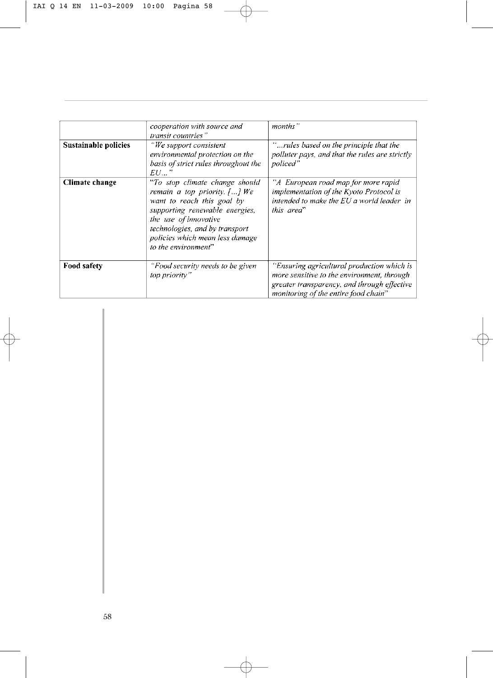| Sustainable policies | cooperation with source and<br>transit countries"<br>"We support consistent<br>environmental protection on the<br>basis of strict rules throughout the<br>EU                                                                                                     | months"<br>'rules based on the principle that the<br>polluter pays, and that the rules are strictly<br>policed"                                                                 |
|----------------------|------------------------------------------------------------------------------------------------------------------------------------------------------------------------------------------------------------------------------------------------------------------|---------------------------------------------------------------------------------------------------------------------------------------------------------------------------------|
| Climate change       | "To stop climate change should<br>remain a top priority $[\, \ldots \,]$ We<br>want to reach this goal by<br>supporting renewable energies,<br>the use of innovative<br>technologies, and by transport<br>policies which mean less damage<br>to the environment" | A European road map for more rapid<br>implementation of the Kyoto Protocol is<br>intended to make the EU a world leader in<br>this area"                                        |
| <b>Food safety</b>   | "Food security needs to be given<br>top priority"                                                                                                                                                                                                                | "Ensuring agricultural production which is<br>more sensitive to the environment, through<br>greater transparency, and through effective<br>monitoring of the entire food chain" |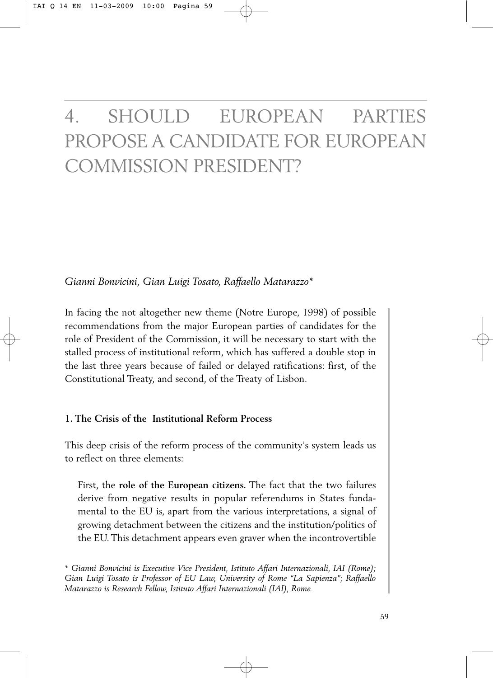# 4. SHOULD EUROPEAN PARTIES PROPOSE A CANDIDATE FOR EUROPEAN COMMISSION PRESIDENT?

*Gianni Bonvicini, Gian Luigi Tosato, Raffaello Matarazzo\**

In facing the not altogether new theme (Notre Europe, 1998) of possible recommendations from the major European parties of candidates for the role of President of the Commission, it will be necessary to start with the stalled process of institutional reform, which has suffered a double stop in the last three years because of failed or delayed ratifications: first, of the Constitutional Treaty, and second, of the Treaty of Lisbon.

## **1. The Crisis of the Institutional Reform Process**

This deep crisis of the reform process of the community's system leads us to reflect on three elements:

First, the **role of the European citizens.** The fact that the two failures derive from negative results in popular referendums in States fundamental to the EU is, apart from the various interpretations, a signal of growing detachment between the citizens and the institution/politics of the EU. This detachment appears even graver when the incontrovertible

*<sup>\*</sup> Gianni Bonvicini is Executive Vice President, Istituto Affari Internazionali, IAI (Rome); Gian Luigi Tosato is Professor of EU Law, University of Rome "La Sapienza"; Raffaello Matarazzo is Research Fellow, Istituto Affari Internazionali (IAI), Rome.*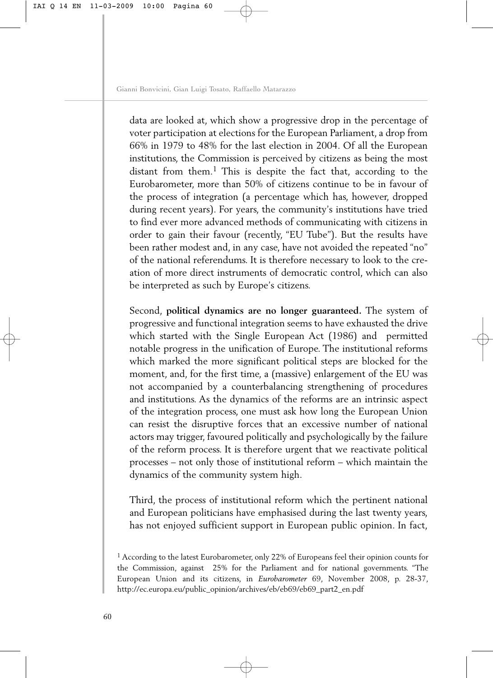data are looked at, which show a progressive drop in the percentage of voter participation at elections for the European Parliament, a drop from 66% in 1979 to 48% for the last election in 2004. Of all the European institutions, the Commission is perceived by citizens as being the most distant from them.<sup>1</sup> This is despite the fact that, according to the Eurobarometer, more than 50% of citizens continue to be in favour of the process of integration (a percentage which has, however, dropped during recent years). For years, the community's institutions have tried to find ever more advanced methods of communicating with citizens in order to gain their favour (recently, "EU Tube"). But the results have been rather modest and, in any case, have not avoided the repeated "no" of the national referendums. It is therefore necessary to look to the creation of more direct instruments of democratic control, which can also be interpreted as such by Europe's citizens.

Second, **political dynamics are no longer guaranteed.** The system of progressive and functional integration seems to have exhausted the drive which started with the Single European Act (1986) and permitted notable progress in the unification of Europe. The institutional reforms which marked the more significant political steps are blocked for the moment, and, for the first time, a (massive) enlargement of the EU was not accompanied by a counterbalancing strengthening of procedures and institutions. As the dynamics of the reforms are an intrinsic aspect of the integration process, one must ask how long the European Union can resist the disruptive forces that an excessive number of national actors may trigger, favoured politically and psychologically by the failure of the reform process. It is therefore urgent that we reactivate political processes – not only those of institutional reform – which maintain the dynamics of the community system high.

Third, the process of institutional reform which the pertinent national and European politicians have emphasised during the last twenty years, has not enjoyed sufficient support in European public opinion. In fact,

<sup>&</sup>lt;sup>1</sup> According to the latest Eurobarometer, only 22% of Europeans feel their opinion counts for the Commission, against 25% for the Parliament and for national governments. "The European Union and its citizens, in *Eurobarometer* 69, November 2008, p. 28-37, [http://ec.europa.eu/public\\_opinion/archives/eb/eb69/eb69\\_part2\\_en.pdf](http://ec.europa.eu/public_opinion/archives/eb/eb69/eb69_part2_en.pdf)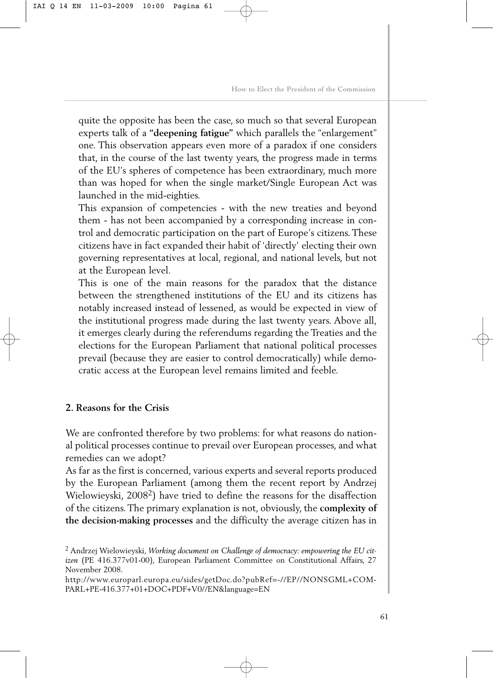quite the opposite has been the case, so much so that several European experts talk of a **"deepening fatigue"** which parallels the "enlargement" one. This observation appears even more of a paradox if one considers that, in the course of the last twenty years, the progress made in terms of the EU's spheres of competence has been extraordinary, much more than was hoped for when the single market/Single European Act was launched in the mid-eighties.

This expansion of competencies - with the new treaties and beyond them - has not been accompanied by a corresponding increase in control and democratic participation on the part of Europe's citizens. These citizens have in fact expanded their habit of 'directly' electing their own governing representatives at local, regional, and national levels, but not at the European level.

This is one of the main reasons for the paradox that the distance between the strengthened institutions of the EU and its citizens has notably increased instead of lessened, as would be expected in view of the institutional progress made during the last twenty years. Above all, it emerges clearly during the referendums regarding the Treaties and the elections for the European Parliament that national political processes prevail (because they are easier to control democratically) while democratic access at the European level remains limited and feeble.

### **2. Reasons for the Crisis**

We are confronted therefore by two problems: for what reasons do national political processes continue to prevail over European processes, and what remedies can we adopt?

As far as the first is concerned, various experts and several reports produced by the European Parliament (among them the recent report by Andrzej Wielowieyski, 2008<sup>2</sup>) have tried to define the reasons for the disaffection of the citizens. The primary explanation is not, obviously, the **complexity of the decision-making processes** and the difficulty the average citizen has in

<sup>2</sup> Andrzej Wielowieyski, *Working document on Challenge of democracy: empowering the EU citizen* (PE 416.377v01-00), European Parliament Committee on Constitutional Affairs, 27 November 2008.

[http://www.europarl.europa.eu/sides/getDoc.do?pubRef=-//EP//NONSGML+COM-](http://www.europarl.europa.eu/sides/getDoc.do?pubRef=-//EP//NONSGML+COM-PARL+PE-416.377+01+DOC+PDF+V0//EN&language=EN)PARL+PE-416.377+01+DOC+PDF+V0//EN&language=EN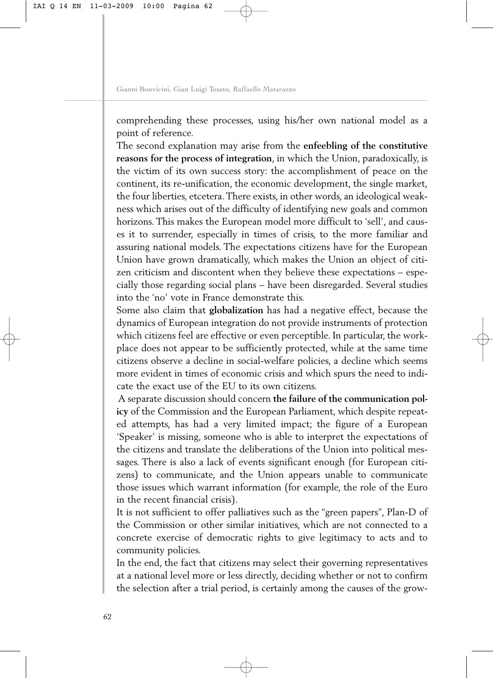comprehending these processes, using his/her own national model as a point of reference.

The second explanation may arise from the **enfeebling of the constitutive reasons for the process of integration**, in which the Union, paradoxically, is the victim of its own success story: the accomplishment of peace on the continent, its re-unification, the economic development, the single market, the four liberties, etcetera.There exists, in other words, an ideological weakness which arises out of the difficulty of identifying new goals and common horizons. This makes the European model more difficult to 'sell', and causes it to surrender, especially in times of crisis, to the more familiar and assuring national models. The expectations citizens have for the European Union have grown dramatically, which makes the Union an object of citizen criticism and discontent when they believe these expectations – especially those regarding social plans – have been disregarded. Several studies into the 'no' vote in France demonstrate this.

Some also claim that **globalization** has had a negative effect, because the dynamics of European integration do not provide instruments of protection which citizens feel are effective or even perceptible. In particular, the workplace does not appear to be sufficiently protected, while at the same time citizens observe a decline in social-welfare policies, a decline which seems more evident in times of economic crisis and which spurs the need to indicate the exact use of the EU to its own citizens.

A separate discussion should concern **the failure of the communication policy** of the Commission and the European Parliament, which despite repeated attempts, has had a very limited impact; the figure of a European 'Speaker' is missing, someone who is able to interpret the expectations of the citizens and translate the deliberations of the Union into political messages. There is also a lack of events significant enough (for European citizens) to communicate, and the Union appears unable to communicate those issues which warrant information (for example, the role of the Euro in the recent financial crisis).

It is not sufficient to offer palliatives such as the "green papers", Plan-D of the Commission or other similar initiatives, which are not connected to a concrete exercise of democratic rights to give legitimacy to acts and to community policies.

In the end, the fact that citizens may select their governing representatives at a national level more or less directly, deciding whether or not to confirm the selection after a trial period, is certainly among the causes of the grow-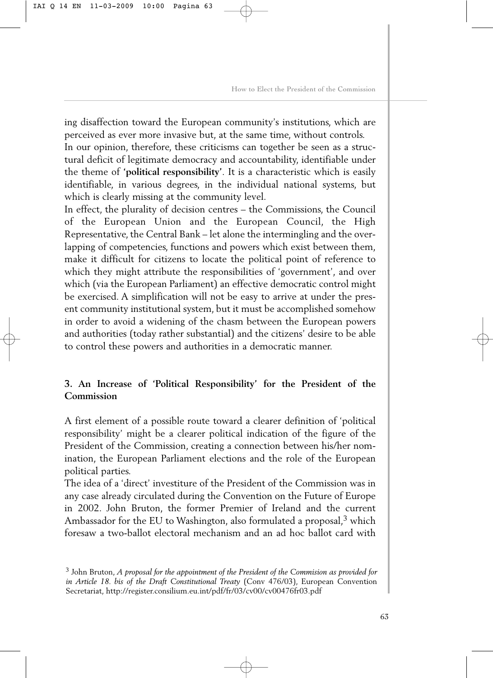ing disaffection toward the European community's institutions, which are perceived as ever more invasive but, at the same time, without controls. In our opinion, therefore, these criticisms can together be seen as a structural deficit of legitimate democracy and accountability, identifiable under the theme of **'political responsibility'**. It is a characteristic which is easily identifiable, in various degrees, in the individual national systems, but which is clearly missing at the community level.

In effect, the plurality of decision centres – the Commissions, the Council of the European Union and the European Council, the High Representative, the Central Bank – let alone the intermingling and the overlapping of competencies, functions and powers which exist between them, make it difficult for citizens to locate the political point of reference to which they might attribute the responsibilities of 'government', and over which (via the European Parliament) an effective democratic control might be exercised. A simplification will not be easy to arrive at under the present community institutional system, but it must be accomplished somehow in order to avoid a widening of the chasm between the European powers and authorities (today rather substantial) and the citizens' desire to be able to control these powers and authorities in a democratic manner.

# **3. An Increase of 'Political Responsibility' for the President of the Commission**

A first element of a possible route toward a clearer definition of 'political responsibility' might be a clearer political indication of the figure of the President of the Commission, creating a connection between his/her nomination, the European Parliament elections and the role of the European political parties.

The idea of a 'direct' investiture of the President of the Commission was in any case already circulated during the Convention on the Future of Europe in 2002. John Bruton, the former Premier of Ireland and the current Ambassador for the EU to Washington, also formulated a proposal,<sup>3</sup> which foresaw a two-ballot electoral mechanism and an ad hoc ballot card with

<sup>3</sup> John Bruton, *A proposal for the appointment of the President of the Commision as provided for in Article 18. bis of the Draft Constitutional Treaty (Conv 476/03), European Convention* Secretariat,<http://register.consilium.eu.int/pdf/fr/03/cv00/cv00476fr03.pdf>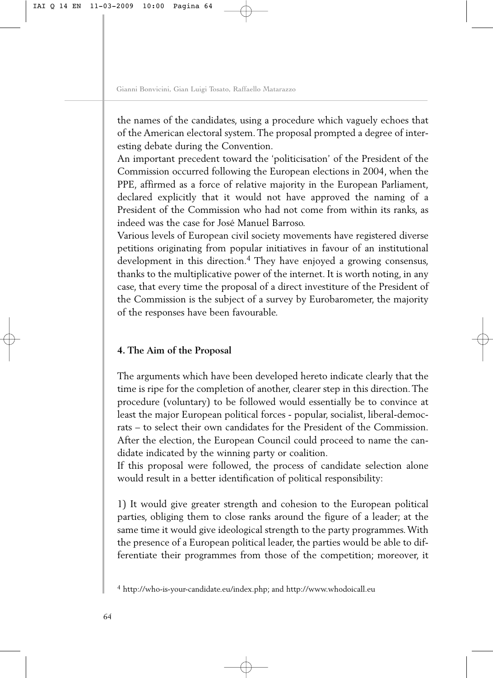the names of the candidates, using a procedure which vaguely echoes that of the American electoral system. The proposal prompted a degree of interesting debate during the Convention.

An important precedent toward the 'politicisation' of the President of the Commission occurred following the European elections in 2004, when the PPE, affirmed as a force of relative majority in the European Parliament, declared explicitly that it would not have approved the naming of a President of the Commission who had not come from within its ranks, as indeed was the case for José Manuel Barroso.

Various levels of European civil society movements have registered diverse petitions originating from popular initiatives in favour of an institutional development in this direction.<sup>4</sup> They have enjoyed a growing consensus, thanks to the multiplicative power of the internet. It is worth noting, in any case, that every time the proposal of a direct investiture of the President of the Commission is the subject of a survey by Eurobarometer, the majority of the responses have been favourable.

# **4. The Aim of the Proposal**

The arguments which have been developed hereto indicate clearly that the time is ripe for the completion of another, clearer step in this direction. The procedure (voluntary) to be followed would essentially be to convince at least the major European political forces - popular, socialist, liberal-democrats – to select their own candidates for the President of the Commission. After the election, the European Council could proceed to name the candidate indicated by the winning party or coalition.

If this proposal were followed, the process of candidate selection alone would result in a better identification of political responsibility:

1) It would give greater strength and cohesion to the European political parties, obliging them to close ranks around the figure of a leader; at the same time it would give ideological strength to the party programmes. With the presence of a European political leader, the parties would be able to differentiate their programmes from those of the competition; moreover, it

<sup>4</sup> [http://who-is-your-candidate.eu/index.php;](http://who-is-your-candidate.eu/index.php) and<http://www.whodoicall.eu>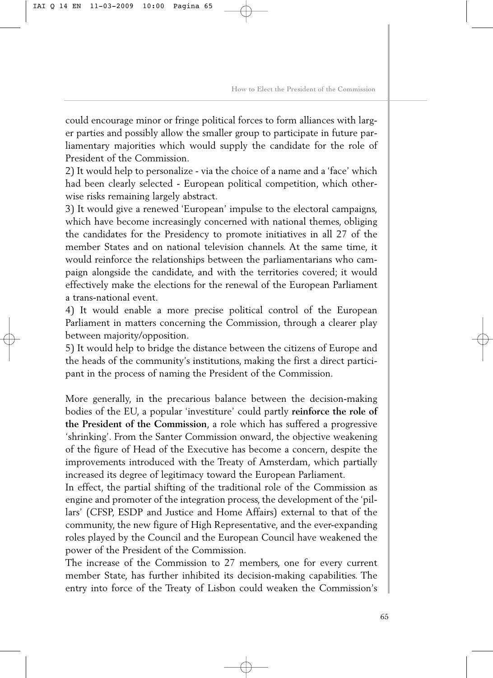could encourage minor or fringe political forces to form alliances with larger parties and possibly allow the smaller group to participate in future parliamentary majorities which would supply the candidate for the role of President of the Commission.

2) It would help to personalize - via the choice of a name and a 'face' which had been clearly selected - European political competition, which otherwise risks remaining largely abstract.

3) It would give a renewed 'European' impulse to the electoral campaigns, which have become increasingly concerned with national themes, obliging the candidates for the Presidency to promote initiatives in all 27 of the member States and on national television channels. At the same time, it would reinforce the relationships between the parliamentarians who campaign alongside the candidate, and with the territories covered; it would effectively make the elections for the renewal of the European Parliament a trans-national event.

4) It would enable a more precise political control of the European Parliament in matters concerning the Commission, through a clearer play between majority/opposition.

5) It would help to bridge the distance between the citizens of Europe and the heads of the community's institutions, making the first a direct participant in the process of naming the President of the Commission.

More generally, in the precarious balance between the decision-making bodies of the EU, a popular 'investiture' could partly **reinforce the role of the President of the Commission**, a role which has suffered a progressive 'shrinking'. From the Santer Commission onward, the objective weakening of the figure of Head of the Executive has become a concern, despite the improvements introduced with the Treaty of Amsterdam, which partially increased its degree of legitimacy toward the European Parliament.

In effect, the partial shifting of the traditional role of the Commission as engine and promoter of the integration process, the development of the 'pillars' (CFSP, ESDP and Justice and Home Affairs) external to that of the community, the new figure of High Representative, and the ever-expanding roles played by the Council and the European Council have weakened the power of the President of the Commission.

The increase of the Commission to 27 members, one for every current member State, has further inhibited its decision-making capabilities. The entry into force of the Treaty of Lisbon could weaken the Commission's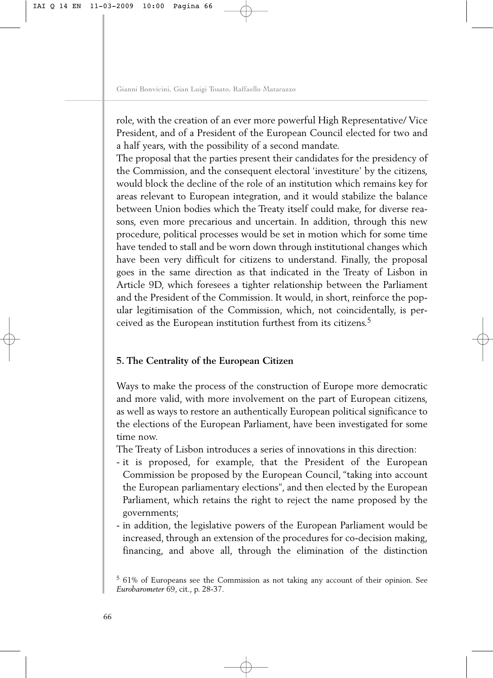role, with the creation of an ever more powerful High Representative/ Vice President, and of a President of the European Council elected for two and a half years, with the possibility of a second mandate.

The proposal that the parties present their candidates for the presidency of the Commission, and the consequent electoral 'investiture' by the citizens, would block the decline of the role of an institution which remains key for areas relevant to European integration, and it would stabilize the balance between Union bodies which the Treaty itself could make, for diverse reasons, even more precarious and uncertain. In addition, through this new procedure, political processes would be set in motion which for some time have tended to stall and be worn down through institutional changes which have been very difficult for citizens to understand. Finally, the proposal goes in the same direction as that indicated in the Treaty of Lisbon in Article 9D, which foresees a tighter relationship between the Parliament and the President of the Commission. It would, in short, reinforce the popular legitimisation of the Commission, which, not coincidentally, is perceived as the European institution furthest from its citizens.5

### **5. The Centrality of the European Citizen**

Ways to make the process of the construction of Europe more democratic and more valid, with more involvement on the part of European citizens, as well as ways to restore an authentically European political significance to the elections of the European Parliament, have been investigated for some time now.

The Treaty of Lisbon introduces a series of innovations in this direction:

- it is proposed, for example, that the President of the European Commission be proposed by the European Council, "taking into account the European parliamentary elections", and then elected by the European Parliament, which retains the right to reject the name proposed by the governments;
- in addition, the legislative powers of the European Parliament would be increased, through an extension of the procedures for co-decision making, financing, and above all, through the elimination of the distinction

<sup>5</sup> 61% of Europeans see the Commission as not taking any account of their opinion. See *Eurobarometer* 69, cit., p. 28-37.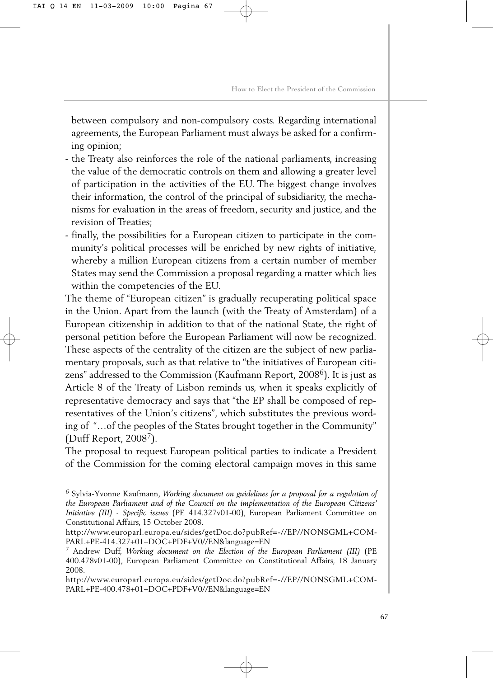between compulsory and non-compulsory costs. Regarding international agreements, the European Parliament must always be asked for a confirming opinion;

- the Treaty also reinforces the role of the national parliaments, increasing the value of the democratic controls on them and allowing a greater level of participation in the activities of the EU. The biggest change involves their information, the control of the principal of subsidiarity, the mechanisms for evaluation in the areas of freedom, security and justice, and the revision of Treaties;
- finally, the possibilities for a European citizen to participate in the community's political processes will be enriched by new rights of initiative, whereby a million European citizens from a certain number of member States may send the Commission a proposal regarding a matter which lies within the competencies of the EU.

The theme of "European citizen" is gradually recuperating political space in the Union. Apart from the launch (with the Treaty of Amsterdam) of a European citizenship in addition to that of the national State, the right of personal petition before the European Parliament will now be recognized. These aspects of the centrality of the citizen are the subject of new parliamentary proposals, such as that relative to "the initiatives of European citizens" addressed to the Commission (Kaufmann Report, 2008<sup>6</sup>). It is just as Article 8 of the Treaty of Lisbon reminds us, when it speaks explicitly of representative democracy and says that "the EP shall be composed of representatives of the Union's citizens", which substitutes the previous wording of "…of the peoples of the States brought together in the Community" (Duff Report,  $2008<sup>7</sup>$ ).

The proposal to request European political parties to indicate a President of the Commission for the coming electoral campaign moves in this same

[http://www.europarl.europa.eu/sides/getDoc.do?pubRef=-//EP//NONSGML+COM-](http://www.europarl.europa.eu/sides/getDoc.do?pubRef=-//EP//NONSGML+COM-PARL+PE-400.478+01+DOC+PDF+V0//EN&language=EN)PARL+PE-400.478+01+DOC+PDF+V0//EN&language=EN

<sup>6</sup> Sylvia-Yvonne Kaufmann, *Working document on guidelines for a proposal for a regulation of the European Parliament and of the Council on the implementation of the European Citizens' Initiative (III) - Specific issues* (PE 414.327v01-00), European Parliament Committee on Constitutional Affairs, 15 October 2008.

[http://www.europarl.europa.eu/sides/getDoc.do?pubRef=-//EP//NONSGML+COM-](http://www.europarl.europa.eu/sides/getDoc.do?pubRef=-//EP//NONSGML+COM-PARL+PE-414.327+01+DOC+PDF+V0//EN&language=EN)PARL+PE-414.327+01+DOC+PDF+V0//EN&language=EN

<sup>7</sup> Andrew Duff, *Working document on the Election of the European Parliament (III)* (PE 400.478v01-00), European Parliament Committee on Constitutional Affairs, 18 January 2008.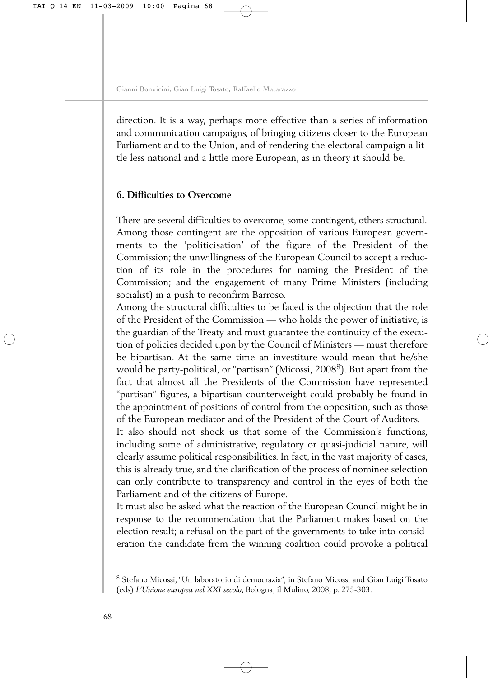direction. It is a way, perhaps more effective than a series of information and communication campaigns, of bringing citizens closer to the European Parliament and to the Union, and of rendering the electoral campaign a little less national and a little more European, as in theory it should be.

## **6. Difficulties to Overcome**

There are several difficulties to overcome, some contingent, others structural. Among those contingent are the opposition of various European governments to the 'politicisation' of the figure of the President of the Commission; the unwillingness of the European Council to accept a reduction of its role in the procedures for naming the President of the Commission; and the engagement of many Prime Ministers (including socialist) in a push to reconfirm Barroso.

Among the structural difficulties to be faced is the objection that the role of the President of the Commission — who holds the power of initiative, is the guardian of the Treaty and must guarantee the continuity of the execution of policies decided upon by the Council of Ministers — must therefore be bipartisan. At the same time an investiture would mean that he/she would be party-political, or "partisan" (Micossi, 2008<sup>8</sup>). But apart from the fact that almost all the Presidents of the Commission have represented "partisan" figures, a bipartisan counterweight could probably be found in the appointment of positions of control from the opposition, such as those of the European mediator and of the President of the Court of Auditors.

It also should not shock us that some of the Commission's functions, including some of administrative, regulatory or quasi-judicial nature, will clearly assume political responsibilities. In fact, in the vast majority of cases, this is already true, and the clarification of the process of nominee selection can only contribute to transparency and control in the eyes of both the Parliament and of the citizens of Europe.

It must also be asked what the reaction of the European Council might be in response to the recommendation that the Parliament makes based on the election result; a refusal on the part of the governments to take into consideration the candidate from the winning coalition could provoke a political

<sup>8</sup> Stefano Micossi, "Un laboratorio di democrazia", in Stefano Micossi and Gian Luigi Tosato (eds) *L'Unione europea nel XXI secolo*, Bologna, il Mulino, 2008, p. 275-303.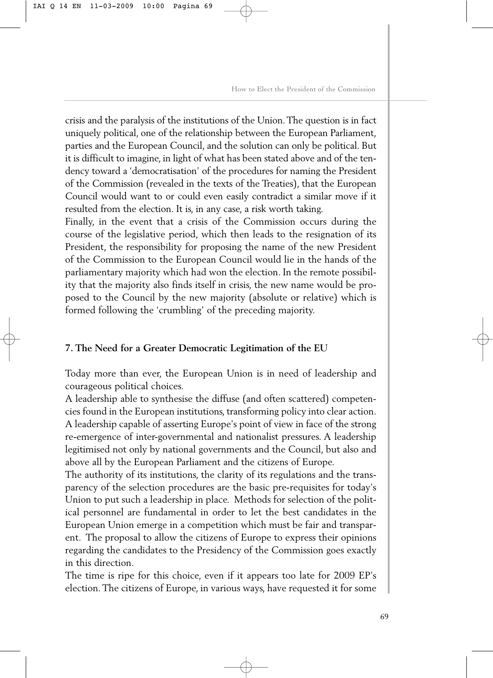crisis and the paralysis of the institutions of the Union. The question is in fact uniquely political, one of the relationship between the European Parliament, parties and the European Council, and the solution can only be political. But it is difficult to imagine, in light of what has been stated above and of the tendency toward a 'democratisation' of the procedures for naming the President of the Commission (revealed in the texts of the Treaties), that the European Council would want to or could even easily contradict a similar move if it resulted from the election. It is, in any case, a risk worth taking.

Finally, in the event that a crisis of the Commission occurs during the course of the legislative period, which then leads to the resignation of its President, the responsibility for proposing the name of the new President of the Commission to the European Council would lie in the hands of the parliamentary majority which had won the election. In the remote possibility that the majority also finds itself in crisis, the new name would be proposed to the Council by the new majority (absolute or relative) which is formed following the 'crumbling' of the preceding majority.

### **7. The Need for a Greater Democratic Legitimation of the EU**

Today more than ever, the European Union is in need of leadership and courageous political choices.

A leadership able to synthesise the diffuse (and often scattered) competencies found in the European institutions, transforming policy into clear action. A leadership capable of asserting Europe's point of view in face of the strong re-emergence of inter-governmental and nationalist pressures. A leadership legitimised not only by national governments and the Council, but also and above all by the European Parliament and the citizens of Europe.

The authority of its institutions, the clarity of its regulations and the transparency of the selection procedures are the basic pre-requisites for today's Union to put such a leadership in place. Methods for selection of the political personnel are fundamental in order to let the best candidates in the European Union emerge in a competition which must be fair and transparent. The proposal to allow the citizens of Europe to express their opinions regarding the candidates to the Presidency of the Commission goes exactly in this direction.

The time is ripe for this choice, even if it appears too late for 2009 EP's election. The citizens of Europe, in various ways, have requested it for some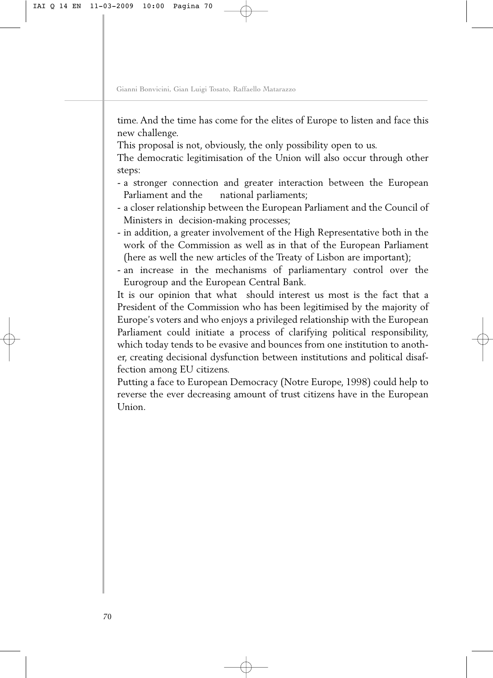time. And the time has come for the elites of Europe to listen and face this new challenge.

This proposal is not, obviously, the only possibility open to us.

The democratic legitimisation of the Union will also occur through other steps:

- a stronger connection and greater interaction between the European Parliament and the national parliaments;
- a closer relationship between the European Parliament and the Council of Ministers in decision-making processes;
- in addition, a greater involvement of the High Representative both in the work of the Commission as well as in that of the European Parliament (here as well the new articles of the Treaty of Lisbon are important);
- an increase in the mechanisms of parliamentary control over the Eurogroup and the European Central Bank.

It is our opinion that what should interest us most is the fact that a President of the Commission who has been legitimised by the majority of Europe's voters and who enjoys a privileged relationship with the European Parliament could initiate a process of clarifying political responsibility, which today tends to be evasive and bounces from one institution to another, creating decisional dysfunction between institutions and political disaffection among EU citizens.

Putting a face to European Democracy (Notre Europe, 1998) could help to reverse the ever decreasing amount of trust citizens have in the European Union.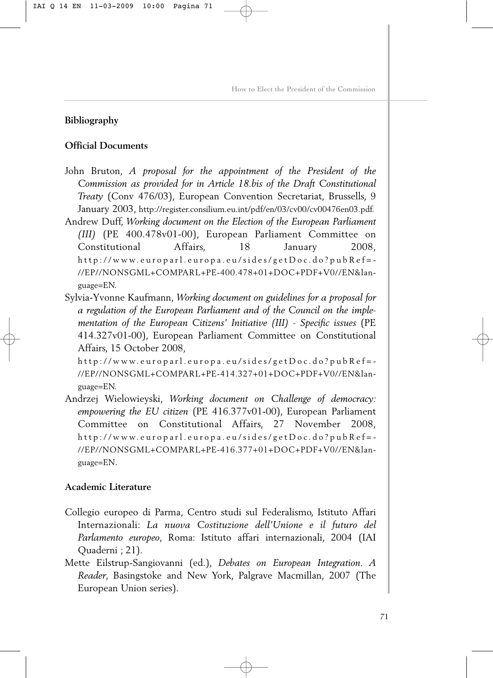## **Bibliography**

## **Official Documents**

John Bruton, *A proposal for the appointment of the President of the Commission as provided for in Article 18.bis of the Draft Constitutional Treaty* (Conv 476/03), European Convention Secretariat, Brussells, 9 January 2003, [http://register.consilium.eu.int/pdf/en/03/cv00/cv00476en03.pdf.](http://register.consilium.eu.int/pdf/en/03/cv00/cv00476en03.pdf) Andrew Duff, *Working document on the Election of the European Parliament*

*(III)* (PE 400.478v01-00), European Parliament Committee on Constitutional Affairs, 18 January 2008, http://www.europarl.europa.eu/sides/getDoc.do?pubRef=- //EP//NONSGML+COMPARL+PE-400.478+01+DOC+PDF+V0//EN&language=EN.

Sylvia-Yvonne Kaufmann, *Working document on guidelines for a proposal for a regulation of the European Parliament and of the Council on the implementation of the European Citizens' Initiative (III) - Specific issues* (PE 414.327v01-00), European Parliament Committee on Constitutional Affairs, 15 October 2008,

http://www.europarl.europa.eu/sides/getDoc.do?pubRef=- //EP//NONSGML+COMPARL+PE-414.327+01+DOC+PDF+V0//EN&language=EN.

Andrzej Wielowieyski, *Working document on Challenge of democracy: empowering the EU citizen* (PE 416.377v01-00), European Parliament Committee on Constitutional Affairs, 27 November 2008, http://www.europarl.europa.eu/sides/getDoc.do?pubRef=- //EP//NONSGML+COMPARL+PE-416.377+01+DOC+PDF+V0//EN&language=EN.

## **Academic Literature**

- Collegio europeo di Parma, Centro studi sul Federalismo, Istituto Affari Internazionali: *La nuova Costituzione dell'Unione e il futuro del Parlamento europeo*, Roma: Istituto affari internazionali, 2004 (IAI Quaderni ; 21).
- Mette Eilstrup-Sangiovanni (ed.), *Debates on European Integration. A Reader*, Basingstoke and New York, Palgrave Macmillan, 2007 (The European Union series).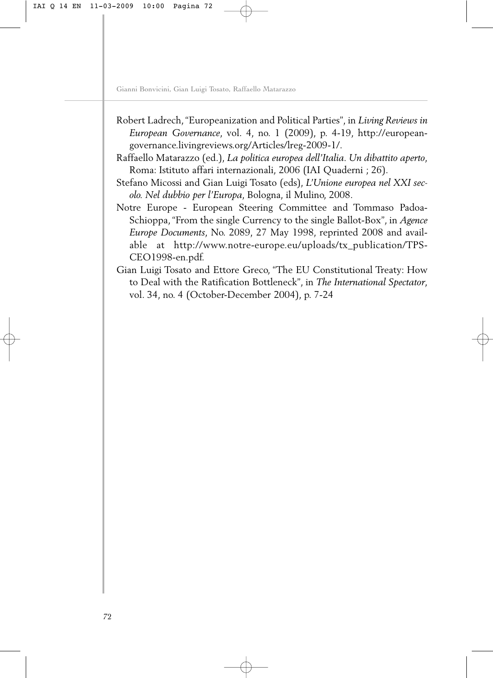- Robert Ladrech,"Europeanization and Political Parties"*,* in *Living Reviews in European Governance*, vol. 4, no. 1 (2009), p. 4-19, http://european[governance.livingreviews.org/Articles/lreg-2009-1/.](http://european-governance.livingreviews.org/Articles/lreg-2009-1/)
- Raffaello Matarazzo (ed.), *La politica europea dell'Italia. Un dibattito aperto*, Roma: Istituto affari internazionali, 2006 (IAI Quaderni ; 26).
- Stefano Micossi and Gian Luigi Tosato (eds), *L'Unione europea nel XXI secolo. Nel dubbio per l'Europa*, Bologna, il Mulino, 2008.
- Notre Europe European Steering Committee and Tommaso Padoa-Schioppa, "From the single Currency to the single Ballot-Box", in *Agence Europe Documents*, No. 2089, 27 May 1998, reprinted 2008 and avail[able at http://www.notre-europe.eu/uploads/tx\\_publication/TPS-](http://www.notre-europe.eu/uploads/tx_publication/TPS-CEO1998-en.pdf)CEO1998-en.pdf.
- Gian Luigi Tosato and Ettore Greco, "The EU Constitutional Treaty: How to Deal with the Ratification Bottleneck", in *The International Spectator*, vol. 34, no. 4 (October-December 2004), p. 7-24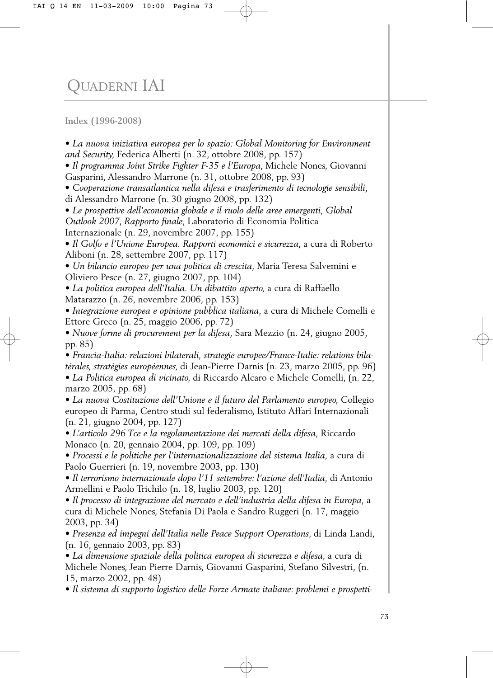## QUADERNI IAI

**Index (1996-2008)**

*• La nuova iniziativa europea per lo spazio: Global Monitoring for Environment and Security,* Federica Alberti (n. 32, ottobre 2008, pp. 157)

• *Il programma Joint Strike Fighter F-35 e l'Europa*, Michele Nones, Giovanni Gasparini, Alessandro Marrone (n. 31, ottobre 2008, pp. 93)

• *Cooperazione transatlantica nella difesa e trasferimento di tecnologie sensibili*, di Alessandro Marrone (n. 30 giugno 2008, pp. 132)

• *Le prospettive dell'economia globale e il ruolo delle aree emergenti, Global Outlook 2007*, *Rapporto finale*, Laboratorio di Economia Politica Internazionale (n. 29, novembre 2007, pp. 155)

• *Il Golfo e l'Unione Europea. Rapporti economici e sicurezza*, a cura di Roberto Aliboni (n. 28, settembre 2007, pp. 117)

• *Un bilancio europeo per una politica di crescita*, Maria Teresa Salvemini e Oliviero Pesce (n. 27, giugno 2007, pp. 104)

*• La politica europea dell'Italia. Un dibattito aperto,* a cura di Raffaello Matarazzo (n. 26, novembre 2006, pp. 153)

*• Integrazione europea e opinione pubblica italiana,* a cura di Michele Comelli e Ettore Greco (n. 25, maggio 2006, pp. 72)

*• Nuove forme di procurement per la difesa,* Sara Mezzio (n. 24, giugno 2005, pp. 85)

*• Francia-Italia: relazioni bilaterali, strategie europee/France-Italie: relations bilatérales, stratégies européennes,* di Jean-Pierre Darnis (n. 23, marzo 2005, pp. 96) *• La Politica europea di vicinato,* di Riccardo Alcaro e Michele Comelli, (n. 22, marzo 2005, pp. 68)

*• La nuova Costituzione dell'Unione e il futuro del Parlamento europeo,* Collegio europeo di Parma, Centro studi sul federalismo, Istituto Affari Internazionali (n. 21, giugno 2004, pp. 127)

*• L'articolo 296 Tce e la regolamentazione dei mercati della difesa,* Riccardo Monaco (n. 20, gennaio 2004, pp. 109, pp. 109)

*• Processi e le politiche per l'internazionalizzazione del sistema Italia,* a cura di Paolo Guerrieri (n. 19, novembre 2003, pp. 130)

*• Il terrorismo internazionale dopo l'11 settembre: l'azione dell'Italia,* di Antonio Armellini e Paolo Trichilo (n. 18, luglio 2003, pp. 120)

*• Il processo di integrazione del mercato e dell'industria della difesa in Europa,* a cura di Michele Nones, Stefania Di Paola e Sandro Ruggeri (n. 17, maggio 2003, pp. 34)

*• Presenza ed impegni dell'Italia nelle Peace Support Operations*, di Linda Landi, (n. 16, gennaio 2003, pp. 83)

*• La dimensione spaziale della politica europea di sicurezza e difesa*, a cura di Michele Nones, Jean Pierre Darnis, Giovanni Gasparini, Stefano Silvestri, (n. 15, marzo 2002, pp. 48)

*• Il sistema di supporto logistico delle Forze Armate italiane: problemi e prospetti-*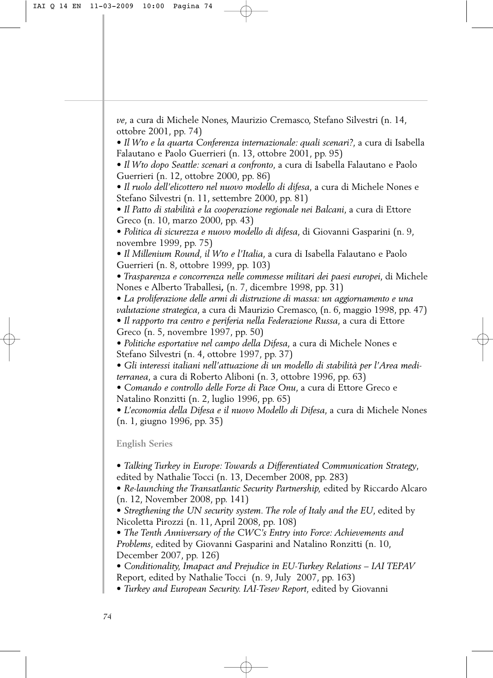*ve*, a cura di Michele Nones, Maurizio Cremasco, Stefano Silvestri (n. 14, ottobre 2001, pp. 74)

*• Il Wto e la quarta Conferenza internazionale: quali scenari?*, a cura di Isabella Falautano e Paolo Guerrieri (n. 13, ottobre 2001, pp. 95)

*• Il Wto dopo Seattle: scenari a confronto*, a cura di Isabella Falautano e Paolo Guerrieri (n. 12, ottobre 2000, pp. 86)

*• Il ruolo dell'elicottero nel nuovo modello di difesa*, a cura di Michele Nones e Stefano Silvestri (n. 11, settembre 2000, pp. 81)

*• Il Patto di stabilità e la cooperazione regionale nei Balcani*, a cura di Ettore Greco (n. 10, marzo 2000, pp. 43)

*• Politica di sicurezza e nuovo modello di difesa*, di Giovanni Gasparini (n. 9, novembre 1999, pp. 75)

*• Il Millenium Round, il Wto e l'Italia*, a cura di Isabella Falautano e Paolo Guerrieri (n. 8, ottobre 1999, pp. 103)

*• Trasparenza e concorrenza nelle commesse militari dei paesi europei*, di Michele Nones e Alberto Traballesi**,** (n. 7, dicembre 1998, pp. 31)

*• La proliferazione delle armi di distruzione di massa: un aggiornamento e una*

*valutazione strategica*, a cura di Maurizio Cremasco, (n. 6, maggio 1998, pp. 47) *• Il rapporto tra centro e periferia nella Federazione Russa*, a cura di Ettore Greco (n. 5, novembre 1997, pp. 50)

*• Politiche esportative nel campo della Difesa*, a cura di Michele Nones e Stefano Silvestri (n. 4, ottobre 1997, pp. 37)

*• Gli interessi italiani nell'attuazione di un modello di stabilità per l'Area mediterranea*, a cura di Roberto Aliboni (n. 3, ottobre 1996, pp. 63)

*• Comando e controllo delle Forze di Pace Onu*, a cura di Ettore Greco e Natalino Ronzitti (n. 2, luglio 1996, pp. 65)

*• L'economia della Difesa e il nuovo Modello di Difesa*, a cura di Michele Nones (n. 1, giugno 1996, pp. 35)

**English Series**

• *Talking Turkey in Europe: Towards a Differentiated Communication Strategy*, edited by Nathalie Tocci (n. 13, December 2008, pp. 283)

• *Re-launching the Transatlantic Security Partnership,* edited by Riccardo Alcaro (n. 12, November 2008, pp. 141)

• *Stregthening the UN security system. The role of Italy and the EU*, edited by Nicoletta Pirozzi (n. 11, April 2008, pp. 108)

• *The Tenth Anniversary of the CWC's Entry into Force: Achievements and Problems*, edited by Giovanni Gasparini and Natalino Ronzitti (n. 10, December 2007, pp. 126)

• *Conditionality, Imapact and Prejudice in EU-Turkey Relations – IAI TEPAV* Report, edited by Nathalie Tocci (n. 9, July 2007, pp. 163)

• *Turkey and European Security. IAI-Tesev Report,* edited by Giovanni